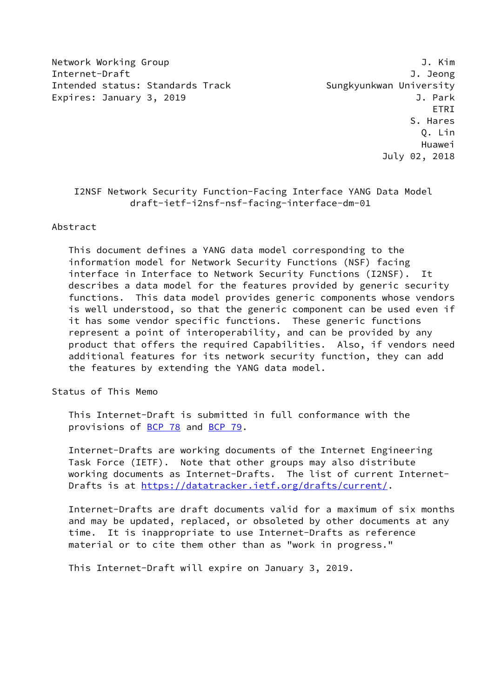Network Working Group J. Kim Internet-Draft J. Jeong Intended status: Standards Track Sungkyunkwan University Expires: January 3, 2019 **J. Park** 

 ETRI S. Hares Q. Lin Huawei July 02, 2018

## I2NSF Network Security Function-Facing Interface YANG Data Model draft-ietf-i2nsf-nsf-facing-interface-dm-01

#### Abstract

 This document defines a YANG data model corresponding to the information model for Network Security Functions (NSF) facing interface in Interface to Network Security Functions (I2NSF). It describes a data model for the features provided by generic security functions. This data model provides generic components whose vendors is well understood, so that the generic component can be used even if it has some vendor specific functions. These generic functions represent a point of interoperability, and can be provided by any product that offers the required Capabilities. Also, if vendors need additional features for its network security function, they can add the features by extending the YANG data model.

Status of This Memo

 This Internet-Draft is submitted in full conformance with the provisions of [BCP 78](https://datatracker.ietf.org/doc/pdf/bcp78) and [BCP 79](https://datatracker.ietf.org/doc/pdf/bcp79).

 Internet-Drafts are working documents of the Internet Engineering Task Force (IETF). Note that other groups may also distribute working documents as Internet-Drafts. The list of current Internet- Drafts is at<https://datatracker.ietf.org/drafts/current/>.

 Internet-Drafts are draft documents valid for a maximum of six months and may be updated, replaced, or obsoleted by other documents at any time. It is inappropriate to use Internet-Drafts as reference material or to cite them other than as "work in progress."

This Internet-Draft will expire on January 3, 2019.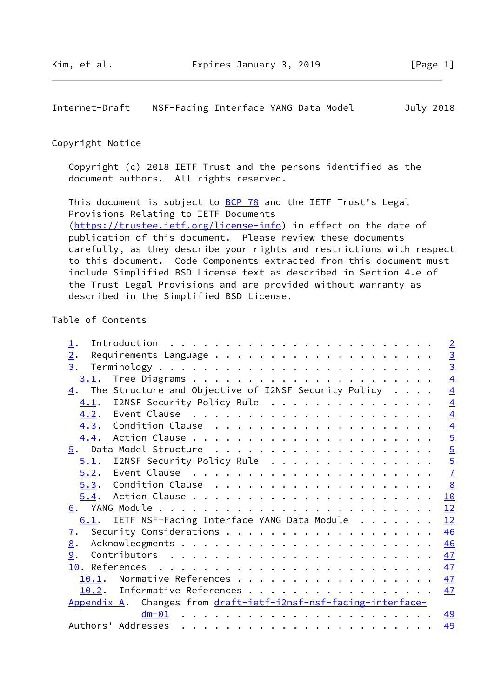<span id="page-1-0"></span>Internet-Draft NSF-Facing Interface YANG Data Model July 2018

#### Copyright Notice

 Copyright (c) 2018 IETF Trust and the persons identified as the document authors. All rights reserved.

This document is subject to **[BCP 78](https://datatracker.ietf.org/doc/pdf/bcp78)** and the IETF Trust's Legal Provisions Relating to IETF Documents [\(https://trustee.ietf.org/license-info](https://trustee.ietf.org/license-info)) in effect on the date of publication of this document. Please review these documents carefully, as they describe your rights and restrictions with respect to this document. Code Components extracted from this document must include Simplified BSD License text as described in Section 4.e of the Trust Legal Provisions and are provided without warranty as described in the Simplified BSD License.

## Table of Contents

| $\frac{3}{3}$                                                                            |
|------------------------------------------------------------------------------------------|
|                                                                                          |
|                                                                                          |
| $\overline{4}$                                                                           |
| $\overline{4}$<br>$\underline{4}$ . The Structure and Objective of I2NSF Security Policy |
| $\overline{4}$<br>4.1. I2NSF Security Policy Rule                                        |
| $\overline{4}$                                                                           |
|                                                                                          |
|                                                                                          |
| $\frac{4}{5}$                                                                            |
| I2NSF Security Policy Rule                                                               |
| $rac{5}{7}$                                                                              |
| 8                                                                                        |
| 10                                                                                       |
| 12                                                                                       |
| IETF NSF-Facing Interface YANG Data Module<br>12                                         |
| 46                                                                                       |
| 46                                                                                       |
| 47                                                                                       |
| 47                                                                                       |
| Normative References<br>47                                                               |
| 10.2. Informative References<br>47                                                       |
|                                                                                          |
| <u>49</u>                                                                                |
| 49                                                                                       |
| Appendix A. Changes from draft-ietf-i2nsf-nsf-facing-interface-                          |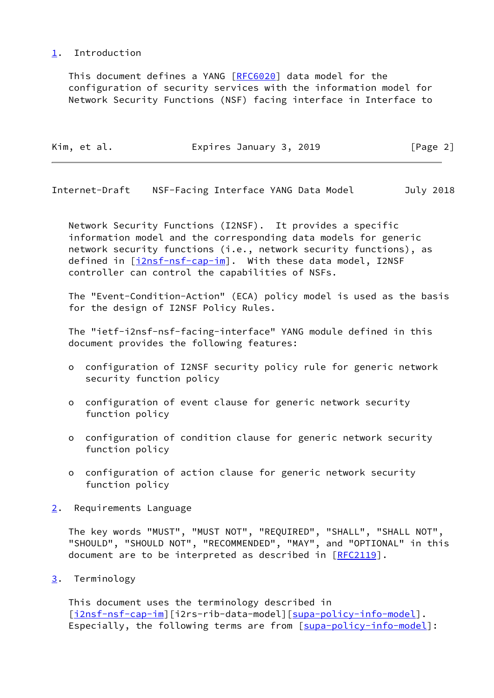### <span id="page-2-0"></span>[1](#page-2-0). Introduction

 This document defines a YANG [\[RFC6020](https://datatracker.ietf.org/doc/pdf/rfc6020)] data model for the configuration of security services with the information model for Network Security Functions (NSF) facing interface in Interface to

| Kim, et al. | Expires January 3, 2019 | [Page 2] |
|-------------|-------------------------|----------|
|             |                         |          |

<span id="page-2-2"></span>Internet-Draft NSF-Facing Interface YANG Data Model July 2018

 Network Security Functions (I2NSF). It provides a specific information model and the corresponding data models for generic network security functions (i.e., network security functions), as defined in [[i2nsf-nsf-cap-im\]](#page-53-1). With these data model, I2NSF controller can control the capabilities of NSFs.

 The "Event-Condition-Action" (ECA) policy model is used as the basis for the design of I2NSF Policy Rules.

 The "ietf-i2nsf-nsf-facing-interface" YANG module defined in this document provides the following features:

- o configuration of I2NSF security policy rule for generic network security function policy
- o configuration of event clause for generic network security function policy
- o configuration of condition clause for generic network security function policy
- o configuration of action clause for generic network security function policy
- <span id="page-2-1"></span>[2](#page-2-1). Requirements Language

 The key words "MUST", "MUST NOT", "REQUIRED", "SHALL", "SHALL NOT", "SHOULD", "SHOULD NOT", "RECOMMENDED", "MAY", and "OPTIONAL" in this document are to be interpreted as described in [\[RFC2119](https://datatracker.ietf.org/doc/pdf/rfc2119)].

<span id="page-2-3"></span>[3](#page-2-3). Terminology

 This document uses the terminology described in [\[i2nsf-nsf-cap-im](#page-53-1)][i2rs-rib-data-model][\[supa-policy-info-model](#page-53-2)]. Especially, the following terms are from [\[supa-policy-info-model](#page-53-2)]: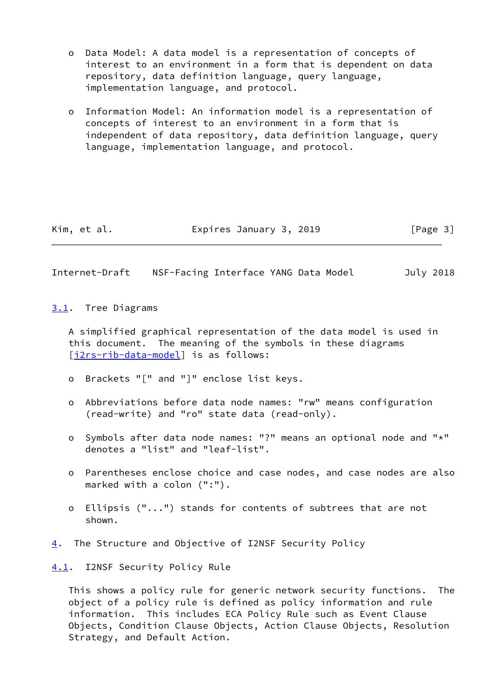- o Data Model: A data model is a representation of concepts of interest to an environment in a form that is dependent on data repository, data definition language, query language, implementation language, and protocol.
- o Information Model: An information model is a representation of concepts of interest to an environment in a form that is independent of data repository, data definition language, query language, implementation language, and protocol.

| Expires January 3, 2019<br>Kim, et al. | [Page 3] |
|----------------------------------------|----------|
|----------------------------------------|----------|

<span id="page-3-1"></span>Internet-Draft NSF-Facing Interface YANG Data Model July 2018

<span id="page-3-0"></span>[3.1](#page-3-0). Tree Diagrams

 A simplified graphical representation of the data model is used in this document. The meaning of the symbols in these diagrams [\[i2rs-rib-data-model](#page-53-3)] is as follows:

- o Brackets "[" and "]" enclose list keys.
- o Abbreviations before data node names: "rw" means configuration (read-write) and "ro" state data (read-only).
- o Symbols after data node names: "?" means an optional node and "\*" denotes a "list" and "leaf-list".
- o Parentheses enclose choice and case nodes, and case nodes are also marked with a colon (":").
- o Ellipsis ("...") stands for contents of subtrees that are not shown.
- <span id="page-3-2"></span>[4](#page-3-2). The Structure and Objective of I2NSF Security Policy

<span id="page-3-3"></span>[4.1](#page-3-3). I2NSF Security Policy Rule

 This shows a policy rule for generic network security functions. The object of a policy rule is defined as policy information and rule information. This includes ECA Policy Rule such as Event Clause Objects, Condition Clause Objects, Action Clause Objects, Resolution Strategy, and Default Action.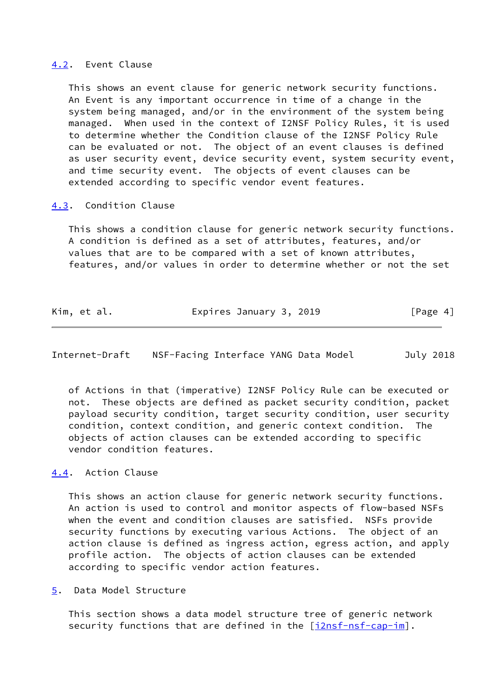#### <span id="page-4-0"></span>[4.2](#page-4-0). Event Clause

 This shows an event clause for generic network security functions. An Event is any important occurrence in time of a change in the system being managed, and/or in the environment of the system being managed. When used in the context of I2NSF Policy Rules, it is used to determine whether the Condition clause of the I2NSF Policy Rule can be evaluated or not. The object of an event clauses is defined as user security event, device security event, system security event, and time security event. The objects of event clauses can be extended according to specific vendor event features.

#### <span id="page-4-1"></span>[4.3](#page-4-1). Condition Clause

 This shows a condition clause for generic network security functions. A condition is defined as a set of attributes, features, and/or values that are to be compared with a set of known attributes, features, and/or values in order to determine whether or not the set

| Kim, et al. | Expires January 3, 2019 | [Page 4] |
|-------------|-------------------------|----------|
|-------------|-------------------------|----------|

<span id="page-4-3"></span>Internet-Draft NSF-Facing Interface YANG Data Model July 2018

 of Actions in that (imperative) I2NSF Policy Rule can be executed or not. These objects are defined as packet security condition, packet payload security condition, target security condition, user security condition, context condition, and generic context condition. The objects of action clauses can be extended according to specific vendor condition features.

## <span id="page-4-2"></span>[4.4](#page-4-2). Action Clause

 This shows an action clause for generic network security functions. An action is used to control and monitor aspects of flow-based NSFs when the event and condition clauses are satisfied. NSFs provide security functions by executing various Actions. The object of an action clause is defined as ingress action, egress action, and apply profile action. The objects of action clauses can be extended according to specific vendor action features.

<span id="page-4-4"></span>[5](#page-4-4). Data Model Structure

 This section shows a data model structure tree of generic network security functions that are defined in the [[i2nsf-nsf-cap-im\]](#page-53-1).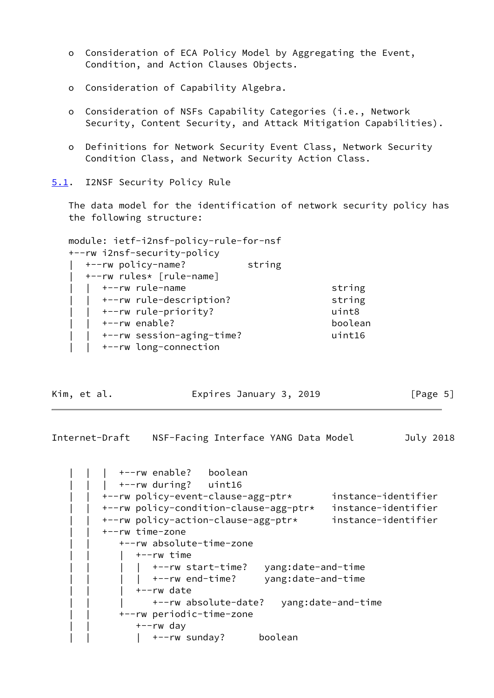- o Consideration of ECA Policy Model by Aggregating the Event, Condition, and Action Clauses Objects.
- o Consideration of Capability Algebra.
- o Consideration of NSFs Capability Categories (i.e., Network Security, Content Security, and Attack Mitigation Capabilities).
- o Definitions for Network Security Event Class, Network Security Condition Class, and Network Security Action Class.

<span id="page-5-0"></span>[5.1](#page-5-0). I2NSF Security Policy Rule

 The data model for the identification of network security policy has the following structure:

| module: ietf-i2nsf-policy-rule-for-nsf |         |
|----------------------------------------|---------|
| +--rw i2nsf-security-policy            |         |
| +--rw policy-name?<br>string           |         |
| +--rw rules* [rule-name]               |         |
| +--rw rule-name                        | string  |
| +--rw rule-description?                | string  |
| +--rw rule-priority?                   | uint8   |
| +--rw enable?                          | boolean |
| +--rw session-aging-time?              | uint16  |
| +--rw long-connection                  |         |

Kim, et al. **Expires January 3, 2019** [Page 5]

Internet-Draft NSF-Facing Interface YANG Data Model July 2018

 | | | +--rw enable? boolean | | | +--rw during? uint16 | | +--rw policy-event-clause-agg-ptr\* instance-identifier | | +--rw policy-condition-clause-agg-ptr\* instance-identifier | | +--rw policy-action-clause-agg-ptr\* instance-identifier | | +--rw time-zone | | +--rw absolute-time-zone | | | +--rw time |  $+--rw$  start-time? yang:date-and-time | +--rw end-time? yang:date-and-time | | | +--rw date | | | +--rw absolute-date? yang:date-and-time | | +--rw periodic-time-zone | | +--rw day |  $+-rw$  sunday? boolean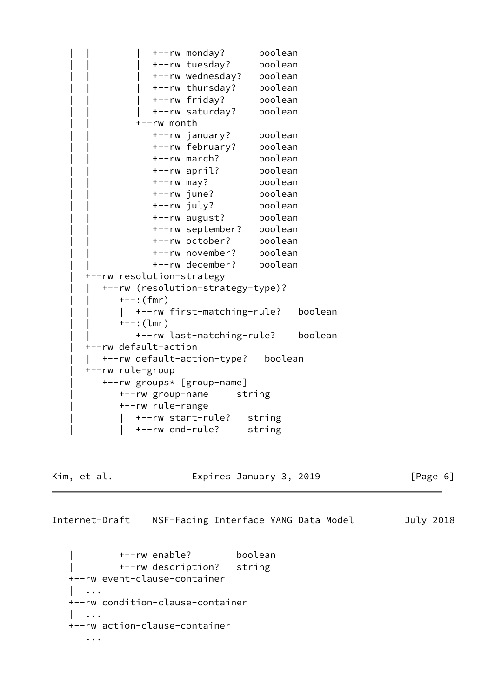| | | +--rw monday? boolean +--rw tuesday? boolean +--rw wednesday? boolean +--rw thursday? boolean | | | +--rw friday? boolean +--rw saturday? boolean | | +--rw month | | +--rw january? boolean | | +--rw february? boolean | | +--rw march? boolean | | +--rw april? boolean | | +--rw may? boolean | | +--rw june? boolean | | +--rw july? boolean | | +--rw august? boolean | | +--rw september? boolean | | +--rw october? boolean | | +--rw november? boolean | | +--rw december? boolean | +--rw resolution-strategy | | +--rw (resolution-strategy-type)?  $+--:$  (fmr) | +--rw first-matching-rule? boolean | | +--:(lmr) | | +--rw last-matching-rule? boolean | +--rw default-action | | +--rw default-action-type? boolean | +--rw rule-group | +--rw groups\* [group-name] | +--rw group-name string | +--rw rule-range | | +--rw start-rule? string | | +--rw end-rule? string

Kim, et al. Expires January 3, 2019 [Page 6]

<span id="page-6-0"></span>Internet-Draft NSF-Facing Interface YANG Data Model July 2018

 | +--rw enable? boolean | +--rw description? string +--rw event-clause-container | ... +--rw condition-clause-container | ... +--rw action-clause-container ...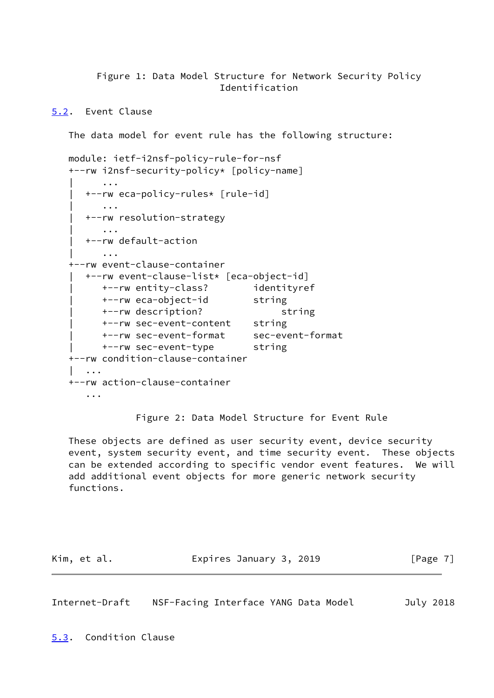Figure 1: Data Model Structure for Network Security Policy Identification

<span id="page-7-0"></span>[5.2](#page-7-0). Event Clause

The data model for event rule has the following structure:

```
 module: ietf-i2nsf-policy-rule-for-nsf
   +--rw i2nsf-security-policy* [policy-name]
 | ...
      | +--rw eca-policy-rules* [rule-id]
          | ...
      | +--rw resolution-strategy
          | ...
      | +--rw default-action
          | ...
    +--rw event-clause-container
      | +--rw event-clause-list* [eca-object-id]
         | +--rw entity-class? identityref
        +--rw eca-object-id string
         | +--rw description? string
         | +--rw sec-event-content string
         | +--rw sec-event-format sec-event-format
        +--rw sec-event-type string
    +--rw condition-clause-container
       | ...
   +--rw action-clause-container
       ...
```
Figure 2: Data Model Structure for Event Rule

 These objects are defined as user security event, device security event, system security event, and time security event. These objects can be extended according to specific vendor event features. We will add additional event objects for more generic network security functions.

| Kim, et al. | Expires January 3, 2019 | [Page 7] |
|-------------|-------------------------|----------|
|             |                         |          |

<span id="page-7-2"></span>Internet-Draft NSF-Facing Interface YANG Data Model July 2018

<span id="page-7-1"></span>[5.3](#page-7-1). Condition Clause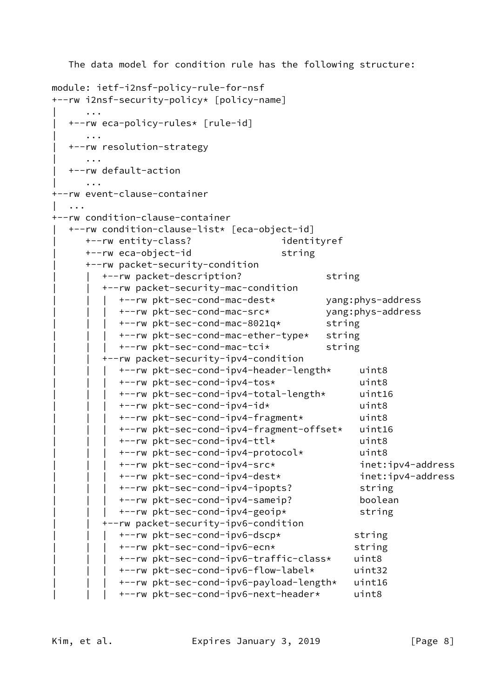```
 The data model for condition rule has the following structure:
module: ietf-i2nsf-policy-rule-for-nsf
+--rw i2nsf-security-policy* [policy-name]
     | ...
   | +--rw eca-policy-rules* [rule-id]
     | ...
   | +--rw resolution-strategy
      | ...
   | +--rw default-action
\| ...
+--rw event-clause-container
   | ...
+--rw condition-clause-container
  | +--rw condition-clause-list* [eca-object-id]
     | +--rw entity-class? identityref
     +--rw eca-object-id string
     | +--rw packet-security-condition
        +--rw packet-description? string
        | | +--rw packet-security-mac-condition
           | | | +--rw pkt-sec-cond-mac-dest* yang:phys-address
           | | | +--rw pkt-sec-cond-mac-src* yang:phys-address
           | | | +--rw pkt-sec-cond-mac-8021q* string
           | | | +--rw pkt-sec-cond-mac-ether-type* string
           | | | +--rw pkt-sec-cond-mac-tci* string
        | | +--rw packet-security-ipv4-condition
           | | | +--rw pkt-sec-cond-ipv4-header-length* uint8
           | | | +--rw pkt-sec-cond-ipv4-tos* uint8
           | | | +--rw pkt-sec-cond-ipv4-total-length* uint16
           | | | +--rw pkt-sec-cond-ipv4-id* uint8
           | | | +--rw pkt-sec-cond-ipv4-fragment* uint8
           | | | +--rw pkt-sec-cond-ipv4-fragment-offset* uint16
           | | | +--rw pkt-sec-cond-ipv4-ttl* uint8
           | | | +--rw pkt-sec-cond-ipv4-protocol* uint8
           | | | +--rw pkt-sec-cond-ipv4-src* inet:ipv4-address
           | | | +--rw pkt-sec-cond-ipv4-dest* inet:ipv4-address
           | | | +--rw pkt-sec-cond-ipv4-ipopts? string
           | | | +--rw pkt-sec-cond-ipv4-sameip? boolean
           | | | +--rw pkt-sec-cond-ipv4-geoip* string
        | | +--rw packet-security-ipv6-condition
           | | | +--rw pkt-sec-cond-ipv6-dscp* string
           | | | +--rw pkt-sec-cond-ipv6-ecn* string
           | | | +--rw pkt-sec-cond-ipv6-traffic-class* uint8
           | | | +--rw pkt-sec-cond-ipv6-flow-label* uint32
           | | | +--rw pkt-sec-cond-ipv6-payload-length* uint16
           | | | +--rw pkt-sec-cond-ipv6-next-header* uint8
```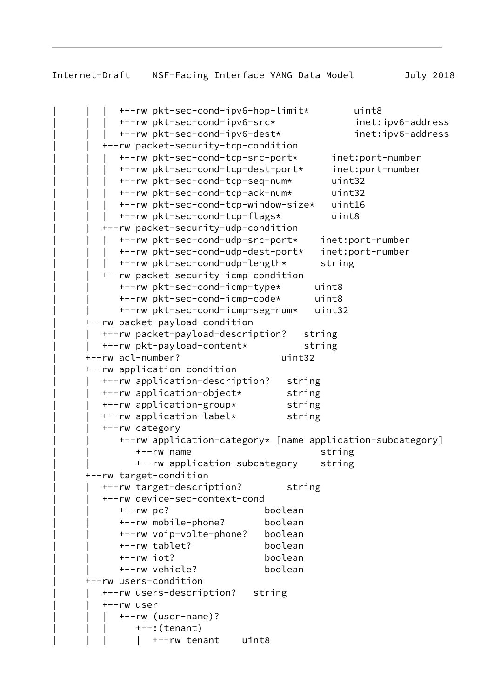```
| | | +--rw pkt-sec-cond-ipv6-hop-limit* uint8
     | | | +--rw pkt-sec-cond-ipv6-src* inet:ipv6-address
     | | | +--rw pkt-sec-cond-ipv6-dest* inet:ipv6-address
   | | +--rw packet-security-tcp-condition
     | | | +--rw pkt-sec-cond-tcp-src-port* inet:port-number
     | | | +--rw pkt-sec-cond-tcp-dest-port* inet:port-number
     | | | +--rw pkt-sec-cond-tcp-seq-num* uint32
     | | | +--rw pkt-sec-cond-tcp-ack-num* uint32
     | | | +--rw pkt-sec-cond-tcp-window-size* uint16
     | | | +--rw pkt-sec-cond-tcp-flags* uint8
   | | +--rw packet-security-udp-condition
     | | | +--rw pkt-sec-cond-udp-src-port* inet:port-number
     | | | +--rw pkt-sec-cond-udp-dest-port* inet:port-number
     | | | +--rw pkt-sec-cond-udp-length* string
   | | +--rw packet-security-icmp-condition
     | | +--rw pkt-sec-cond-icmp-type* uint8
     | | +--rw pkt-sec-cond-icmp-code* uint8
     | | +--rw pkt-sec-cond-icmp-seg-num* uint32
| +--rw packet-payload-condition
  | | +--rw packet-payload-description? string
  | | +--rw pkt-payload-content* string
| +--rw acl-number? uint32
| +--rw application-condition
  | | +--rw application-description? string
  | | +--rw application-object* string
  | | +--rw application-group* string
  | | +--rw application-label* string
  | | +--rw category
     | | +--rw application-category* [name application-subcategory]
        | | +--rw name string
        | | +--rw application-subcategory string
| +--rw target-condition
  | | +--rw target-description? string
  | | +--rw device-sec-context-cond
     | | +--rw pc? boolean
     | | +--rw mobile-phone? boolean
     | | +--rw voip-volte-phone? boolean
     | | +--rw tablet? boolean
     | | +--rw iot? boolean
     | | +--rw vehicle? boolean
| +--rw users-condition
  | | +--rw users-description? string
  | | +--rw user
     | | | +--rw (user-name)?
        +--: (tenant)
         | +--rw tenant uint8
```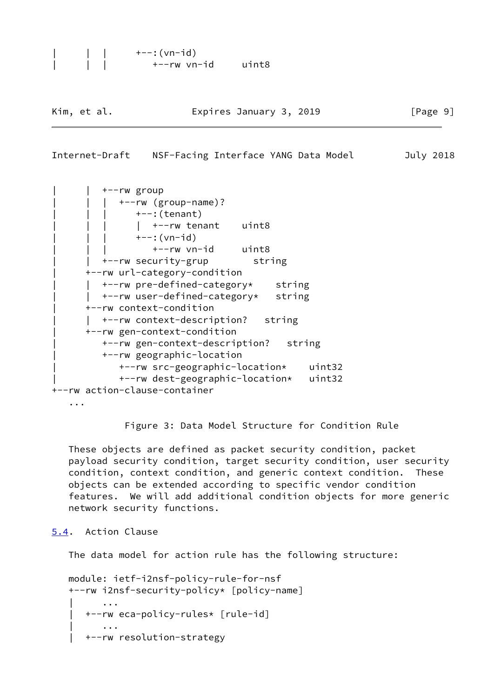```
| | | +--:(vn-id)
| | | +--rw vn-id uint8
```
Kim, et al. **Expires January 3, 2019** [Page 9]

#### <span id="page-10-1"></span>Internet-Draft NSF-Facing Interface YANG Data Model July 2018

```
+--rw group
           | | | +--rw (group-name)?
              +--: (tenant)
             | +--rw tenant uint8
              ---:(vn-id)
      | | | +--rw vn-id uint8
        | | +--rw security-grup string
      | +--rw url-category-condition
      | | +--rw pre-defined-category* string
      | | +--rw user-defined-category* string
      | +--rw context-condition
      | | +--rw context-description? string
     | +--rw gen-context-condition
        | +--rw gen-context-description? string
        | +--rw geographic-location
           | +--rw src-geographic-location* uint32
           | +--rw dest-geographic-location* uint32
+--rw action-clause-container
```

```
 ...
```
Figure 3: Data Model Structure for Condition Rule

 These objects are defined as packet security condition, packet payload security condition, target security condition, user security condition, context condition, and generic context condition. These objects can be extended according to specific vendor condition features. We will add additional condition objects for more generic network security functions.

<span id="page-10-0"></span>[5.4](#page-10-0). Action Clause

The data model for action rule has the following structure:

```
 module: ietf-i2nsf-policy-rule-for-nsf
   +--rw i2nsf-security-policy* [policy-name]
 | ...
      | +--rw eca-policy-rules* [rule-id]
 | ...
      | +--rw resolution-strategy
```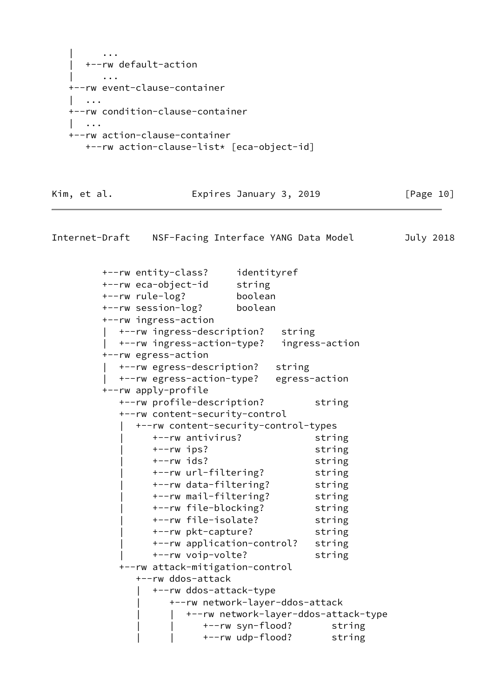```
 | ...
       | +--rw default-action
          | ...
    +--rw event-clause-container
| ...
    +--rw condition-clause-container
      | ...
    +--rw action-clause-container
      +--rw action-clause-list* [eca-object-id]
```
### Kim, et al. **Expires January 3, 2019** [Page 10]

Internet-Draft NSF-Facing Interface YANG Data Model July 2018 +--rw entity-class? identityref +--rw eca-object-id string +--rw rule-log? boolean +--rw session-log? boolean +--rw ingress-action | +--rw ingress-description? string | +--rw ingress-action-type? ingress-action +--rw egress-action | +--rw egress-description? string | +--rw egress-action-type? egress-action +--rw apply-profile +--rw profile-description? string +--rw content-security-control | +--rw content-security-control-types | +--rw antivirus? string | +--rw ips? string | +--rw ids? string | +--rw url-filtering? string | +--rw data-filtering? string | +--rw mail-filtering? string | +--rw file-blocking? string | +--rw file-isolate? string | +--rw pkt-capture? string | +--rw application-control? string | +--rw voip-volte? string +--rw attack-mitigation-control +--rw ddos-attack | +--rw ddos-attack-type | +--rw network-layer-ddos-attack | | +--rw network-layer-ddos-attack-type | | +--rw syn-flood? string | | +--rw udp-flood? string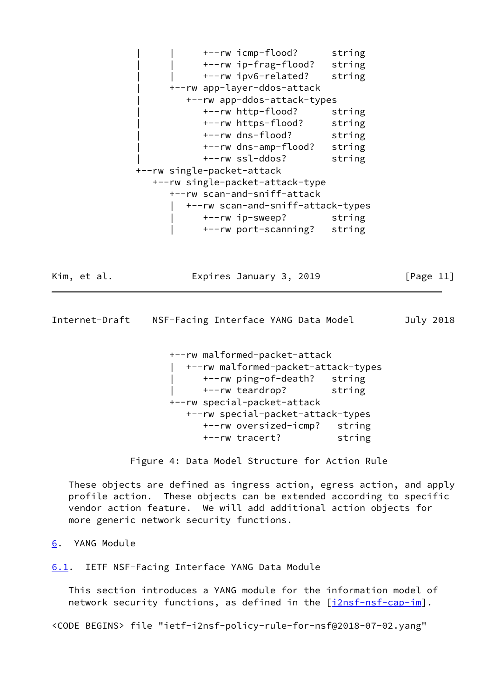| | +--rw icmp-flood? string | | +--rw ip-frag-flood? string | | +--rw ipv6-related? string | +--rw app-layer-ddos-attack | +--rw app-ddos-attack-types | +--rw http-flood? string | +--rw https-flood? string | +--rw dns-flood? string | +--rw dns-amp-flood? string | +--rw ssl-ddos? string +--rw single-packet-attack +--rw single-packet-attack-type +--rw scan-and-sniff-attack | +--rw scan-and-sniff-attack-types | +--rw ip-sweep? string | +--rw port-scanning? string

Kim, et al. Expires January 3, 2019 [Page 11]

<span id="page-12-1"></span>Internet-Draft NSF-Facing Interface YANG Data Model July 2018

 +--rw malformed-packet-attack | +--rw malformed-packet-attack-types | +--rw ping-of-death? string | +--rw teardrop? string +--rw special-packet-attack +--rw special-packet-attack-types +--rw oversized-icmp? string +--rw tracert? string

Figure 4: Data Model Structure for Action Rule

 These objects are defined as ingress action, egress action, and apply profile action. These objects can be extended according to specific vendor action feature. We will add additional action objects for more generic network security functions.

<span id="page-12-0"></span>[6](#page-12-0). YANG Module

<span id="page-12-2"></span>[6.1](#page-12-2). IETF NSF-Facing Interface YANG Data Module

 This section introduces a YANG module for the information model of network security functions, as defined in the [[i2nsf-nsf-cap-im\]](#page-53-1).

<CODE BEGINS> file "ietf-i2nsf-policy-rule-for-nsf@2018-07-02.yang"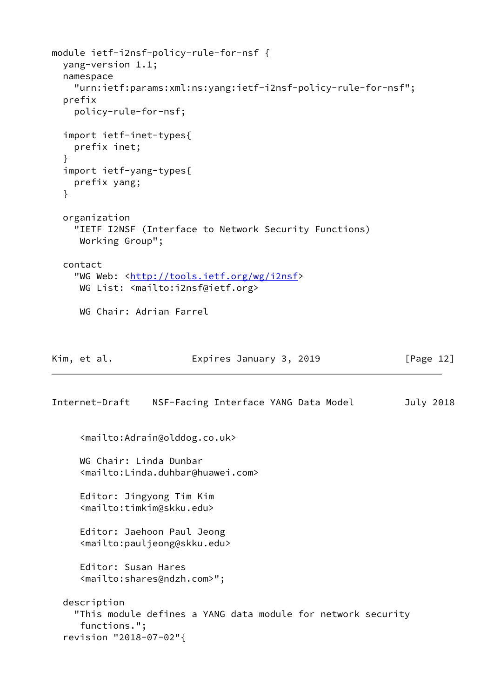```
module ietf-i2nsf-policy-rule-for-nsf {
   yang-version 1.1;
   namespace
     "urn:ietf:params:xml:ns:yang:ietf-i2nsf-policy-rule-for-nsf";
   prefix
     policy-rule-for-nsf;
   import ietf-inet-types{
     prefix inet;
   }
   import ietf-yang-types{
     prefix yang;
   }
   organization
     "IETF I2NSF (Interface to Network Security Functions)
     Working Group";
   contact
    http://tools.ietf.org/wg/i2nsf>
     WG List: <mailto:i2nsf@ietf.org>
     WG Chair: Adrian Farrel
Kim, et al. Expires January 3, 2019 [Page 12]
Internet-Draft NSF-Facing Interface YANG Data Model July 2018
      <mailto:Adrain@olddog.co.uk>
      WG Chair: Linda Dunbar
      <mailto:Linda.duhbar@huawei.com>
      Editor: Jingyong Tim Kim
      <mailto:timkim@skku.edu>
      Editor: Jaehoon Paul Jeong
      <mailto:pauljeong@skku.edu>
      Editor: Susan Hares
      <mailto:shares@ndzh.com>";
   description
     "This module defines a YANG data module for network security
      functions.";
   revision "2018-07-02"{
```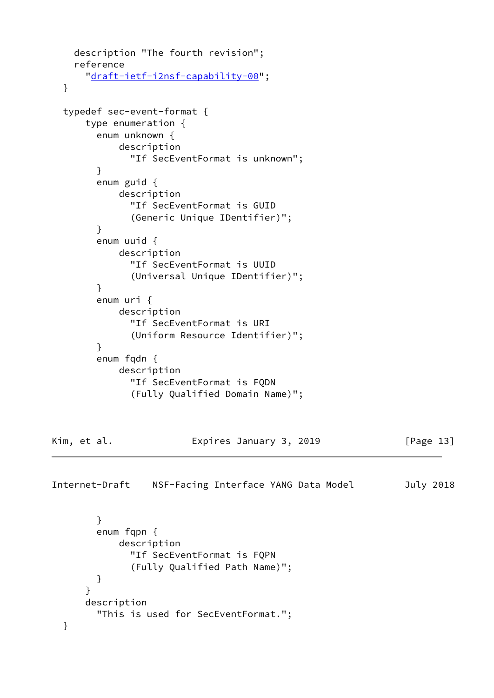```
 description "The fourth revision";
     reference
       "draft-ietf-i2nsf-capability-00";
   }
   typedef sec-event-format {
       type enumeration {
         enum unknown {
             description
               "If SecEventFormat is unknown";
         }
         enum guid {
             description
               "If SecEventFormat is GUID
               (Generic Unique IDentifier)";
         }
         enum uuid {
             description
               "If SecEventFormat is UUID
               (Universal Unique IDentifier)";
         }
         enum uri {
             description
               "If SecEventFormat is URI
               (Uniform Resource Identifier)";
         }
         enum fqdn {
             description
               "If SecEventFormat is FQDN
               (Fully Qualified Domain Name)";
Kim, et al. Expires January 3, 2019 [Page 13]
Internet-Draft NSF-Facing Interface YANG Data Model July 2018
         }
         enum fqpn {
             description
               "If SecEventFormat is FQPN
               (Fully Qualified Path Name)";
         }
       }
       description
         "This is used for SecEventFormat.";
   }
```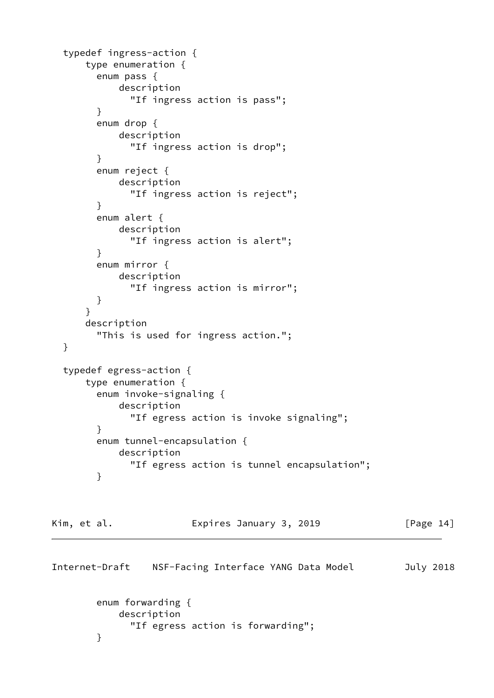```
 typedef ingress-action {
       type enumeration {
         enum pass {
             description
               "If ingress action is pass";
         }
         enum drop {
             description
               "If ingress action is drop";
         }
         enum reject {
             description
               "If ingress action is reject";
         }
         enum alert {
             description
               "If ingress action is alert";
         }
         enum mirror {
             description
               "If ingress action is mirror";
         }
       }
       description
         "This is used for ingress action.";
   }
   typedef egress-action {
       type enumeration {
         enum invoke-signaling {
             description
               "If egress action is invoke signaling";
         }
         enum tunnel-encapsulation {
             description
               "If egress action is tunnel encapsulation";
         }
Kim, et al. Expires January 3, 2019 [Page 14]
Internet-Draft NSF-Facing Interface YANG Data Model July 2018
         enum forwarding {
             description
               "If egress action is forwarding";
```

```
 }
```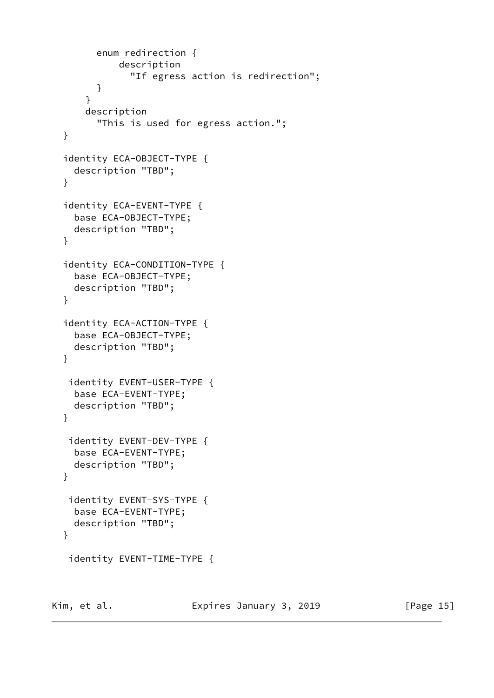```
 enum redirection {
           description
              "If egress action is redirection";
       }
     }
     description
       "This is used for egress action.";
 }
 identity ECA-OBJECT-TYPE {
   description "TBD";
 }
 identity ECA-EVENT-TYPE {
   base ECA-OBJECT-TYPE;
   description "TBD";
 }
 identity ECA-CONDITION-TYPE {
   base ECA-OBJECT-TYPE;
   description "TBD";
 }
 identity ECA-ACTION-TYPE {
   base ECA-OBJECT-TYPE;
   description "TBD";
 }
  identity EVENT-USER-TYPE {
   base ECA-EVENT-TYPE;
   description "TBD";
 }
  identity EVENT-DEV-TYPE {
   base ECA-EVENT-TYPE;
   description "TBD";
 }
 identity EVENT-SYS-TYPE {
   base ECA-EVENT-TYPE;
  description "TBD";
 }
 identity EVENT-TIME-TYPE {
```
Kim, et al. **Expires January 3, 2019** [Page 15]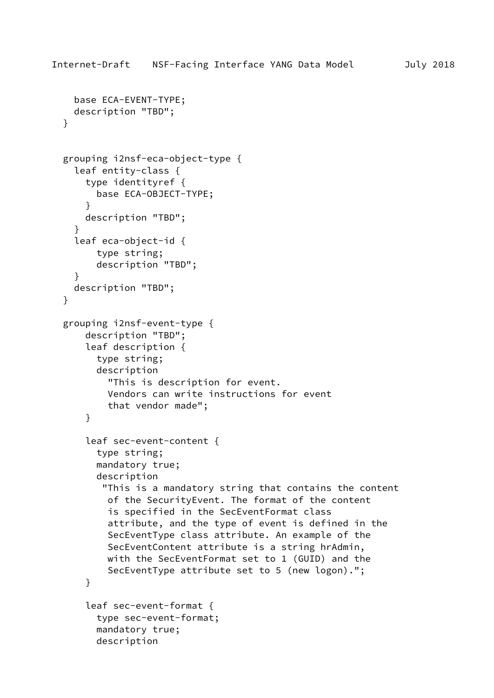```
 base ECA-EVENT-TYPE;
   description "TBD";
 }
 grouping i2nsf-eca-object-type {
   leaf entity-class {
     type identityref {
       base ECA-OBJECT-TYPE;
     }
     description "TBD";
   }
   leaf eca-object-id {
       type string;
       description "TBD";
   }
   description "TBD";
 }
 grouping i2nsf-event-type {
     description "TBD";
     leaf description {
       type string;
       description
         "This is description for event.
         Vendors can write instructions for event
         that vendor made";
     }
     leaf sec-event-content {
       type string;
       mandatory true;
       description
        "This is a mandatory string that contains the content
         of the SecurityEvent. The format of the content
         is specified in the SecEventFormat class
         attribute, and the type of event is defined in the
         SecEventType class attribute. An example of the
         SecEventContent attribute is a string hrAdmin,
         with the SecEventFormat set to 1 (GUID) and the
         SecEventType attribute set to 5 (new logon).";
     }
     leaf sec-event-format {
       type sec-event-format;
       mandatory true;
```

```
 description
```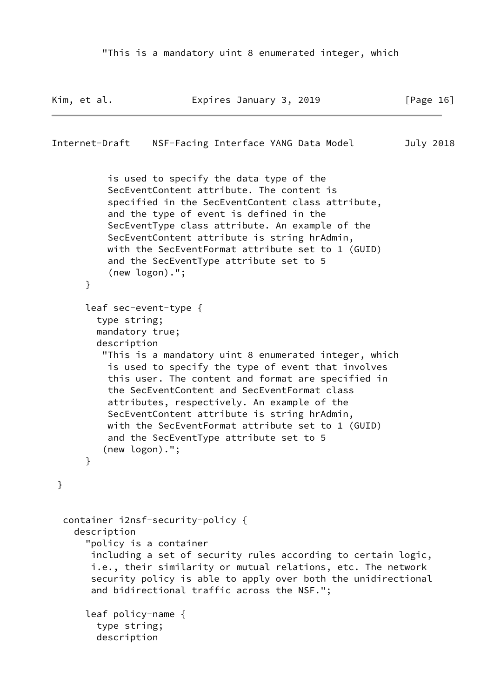```
Kim, et al.                   Expires January 3, 2019               [Page 16]
Internet-Draft NSF-Facing Interface YANG Data Model July 2018
           is used to specify the data type of the
           SecEventContent attribute. The content is
           specified in the SecEventContent class attribute,
           and the type of event is defined in the
           SecEventType class attribute. An example of the
           SecEventContent attribute is string hrAdmin,
           with the SecEventFormat attribute set to 1 (GUID)
           and the SecEventType attribute set to 5
           (new logon).";
       }
       leaf sec-event-type {
         type string;
         mandatory true;
         description
          "This is a mandatory uint 8 enumerated integer, which
           is used to specify the type of event that involves
           this user. The content and format are specified in
           the SecEventContent and SecEventFormat class
           attributes, respectively. An example of the
           SecEventContent attribute is string hrAdmin,
           with the SecEventFormat attribute set to 1 (GUID)
           and the SecEventType attribute set to 5
          (new logon).";
       }
  }
   container i2nsf-security-policy {
     description
       "policy is a container
        including a set of security rules according to certain logic,
        i.e., their similarity or mutual relations, etc. The network
        security policy is able to apply over both the unidirectional
        and bidirectional traffic across the NSF.";
       leaf policy-name {
         type string;
```
description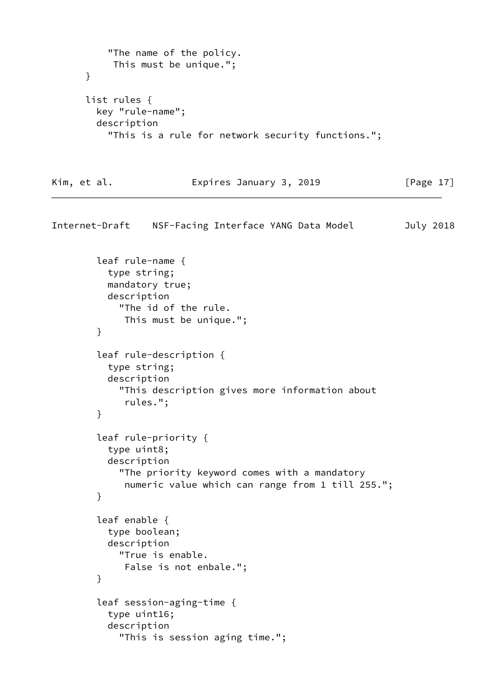```
 "The name of the policy.
            This must be unique.";
       }
       list rules {
         key "rule-name";
         description
           "This is a rule for network security functions.";
Kim, et al.                   Expires January 3, 2019             [Page 17]
Internet-Draft NSF-Facing Interface YANG Data Model July 2018
         leaf rule-name {
           type string;
           mandatory true;
           description
             "The id of the rule.
              This must be unique.";
         }
         leaf rule-description {
           type string;
           description
             "This description gives more information about
              rules.";
         }
         leaf rule-priority {
           type uint8;
           description
             "The priority keyword comes with a mandatory
              numeric value which can range from 1 till 255.";
         }
         leaf enable {
           type boolean;
           description
             "True is enable.
              False is not enbale.";
         }
         leaf session-aging-time {
           type uint16;
           description
             "This is session aging time.";
```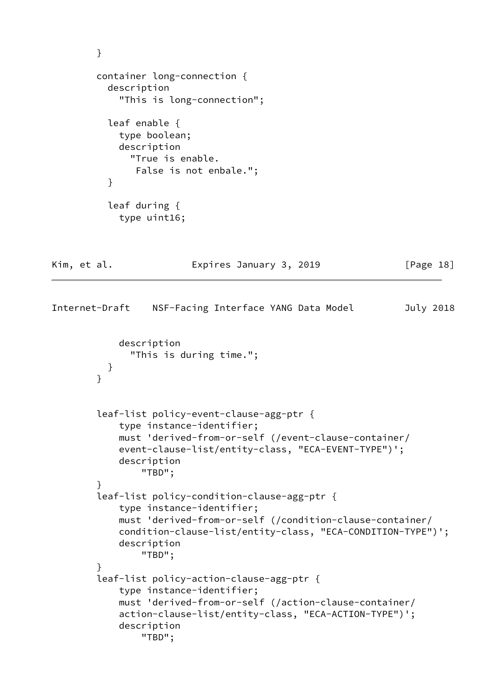```
 }
         container long-connection {
           description
             "This is long-connection";
           leaf enable {
             type boolean;
             description
               "True is enable.
                False is not enbale.";
           }
           leaf during {
             type uint16;
Kim, et al. Expires January 3, 2019 [Page 18]
Internet-Draft NSF-Facing Interface YANG Data Model July 2018
             description
               "This is during time.";
           }
         }
         leaf-list policy-event-clause-agg-ptr {
             type instance-identifier;
             must 'derived-from-or-self (/event-clause-container/
             event-clause-list/entity-class, "ECA-EVENT-TYPE")';
             description
                 "TBD";
         }
         leaf-list policy-condition-clause-agg-ptr {
             type instance-identifier;
             must 'derived-from-or-self (/condition-clause-container/
             condition-clause-list/entity-class, "ECA-CONDITION-TYPE")';
             description
                 "TBD";
         }
         leaf-list policy-action-clause-agg-ptr {
             type instance-identifier;
             must 'derived-from-or-self (/action-clause-container/
             action-clause-list/entity-class, "ECA-ACTION-TYPE")';
             description
                 "TBD";
```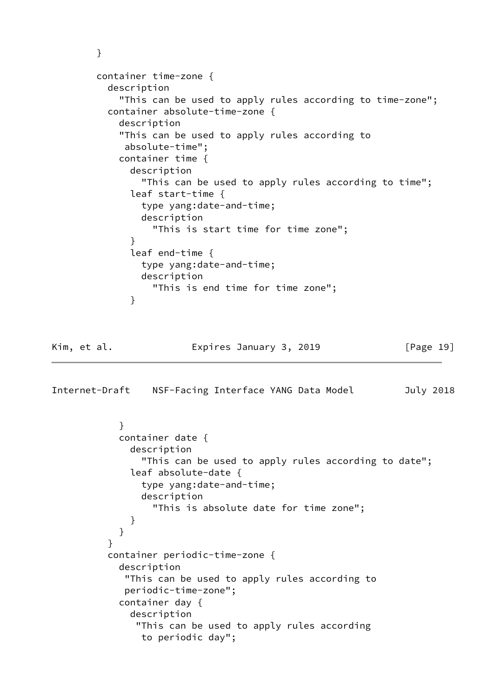```
 }
        container time-zone {
          description
            "This can be used to apply rules according to time-zone";
          container absolute-time-zone {
            description
            "This can be used to apply rules according to
             absolute-time";
            container time {
              description
                "This can be used to apply rules according to time";
              leaf start-time {
                type yang:date-and-time;
                description
                  "This is start time for time zone";
 }
              leaf end-time {
                type yang:date-and-time;
                description
                  "This is end time for time zone";
 }
Kim, et al. Expires January 3, 2019 [Page 19]
Internet-Draft NSF-Facing Interface YANG Data Model July 2018
```

```
 }
            container date {
              description
                "This can be used to apply rules according to date";
              leaf absolute-date {
                type yang:date-and-time;
                description
                  "This is absolute date for time zone";
 }
 }
 }
          container periodic-time-zone {
            description
             "This can be used to apply rules according to
             periodic-time-zone";
            container day {
              description
               "This can be used to apply rules according
                to periodic day";
```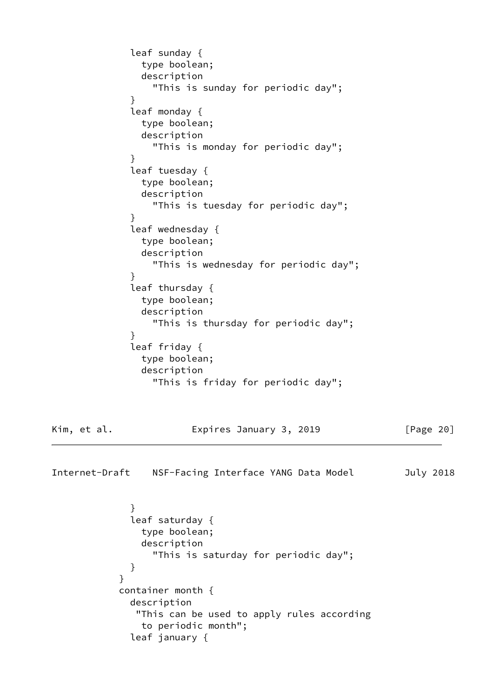```
 leaf sunday {
                type boolean;
               description
                  "This is sunday for periodic day";
 }
              leaf monday {
               type boolean;
               description
                  "This is monday for periodic day";
 }
              leaf tuesday {
               type boolean;
               description
                 "This is tuesday for periodic day";
 }
              leaf wednesday {
               type boolean;
               description
                 "This is wednesday for periodic day";
 }
              leaf thursday {
               type boolean;
               description
                  "This is thursday for periodic day";
 }
              leaf friday {
               type boolean;
                description
                 "This is friday for periodic day";
Kim, et al.                 Expires January 3, 2019             [Page 20]
Internet-Draft NSF-Facing Interface YANG Data Model July 2018
 }
              leaf saturday {
               type boolean;
               description
                 "This is saturday for periodic day";
 }
 }
            container month {
              description
               "This can be used to apply rules according
               to periodic month";
              leaf january {
```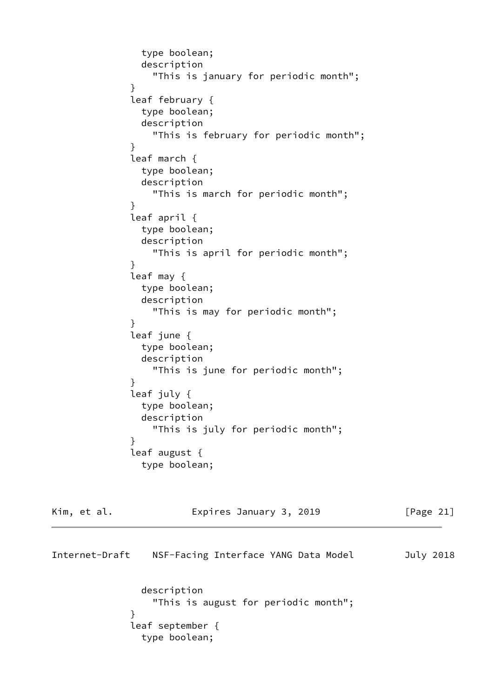```
 type boolean;
               description
                 "This is january for periodic month";
 }
             leaf february {
               type boolean;
               description
                 "This is february for periodic month";
 }
             leaf march {
               type boolean;
               description
                 "This is march for periodic month";
 }
             leaf april {
               type boolean;
               description
                 "This is april for periodic month";
 }
             leaf may {
               type boolean;
               description
                 "This is may for periodic month";
 }
             leaf june {
               type boolean;
               description
                 "This is june for periodic month";
 }
             leaf july {
               type boolean;
               description
                 "This is july for periodic month";
 }
             leaf august {
               type boolean;
```

| Kim, et al.    | Expires January 3, 2019                             | [Page $21$ ] |
|----------------|-----------------------------------------------------|--------------|
| Internet-Draft | NSF-Facing Interface YANG Data Model                | July 2018    |
|                | description<br>"This is august for periodic month"; |              |
|                | leaf september $\{$<br>type boolean;                |              |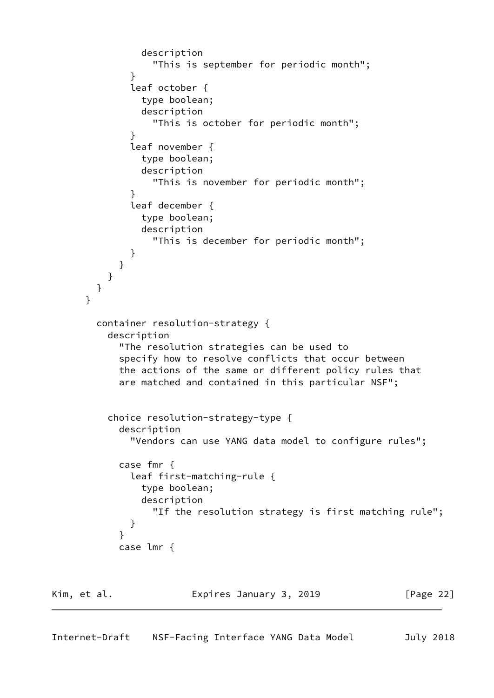```
 description
                  "This is september for periodic month";
 }
              leaf october {
                type boolean;
                description
                  "This is october for periodic month";
 }
              leaf november {
                type boolean;
                description
                  "This is november for periodic month";
 }
              leaf december {
                type boolean;
                description
                  "This is december for periodic month";
 }
 }
          }
        }
      }
        container resolution-strategy {
          description
            "The resolution strategies can be used to
            specify how to resolve conflicts that occur between
            the actions of the same or different policy rules that
            are matched and contained in this particular NSF";
          choice resolution-strategy-type {
            description
              "Vendors can use YANG data model to configure rules";
            case fmr {
              leaf first-matching-rule {
                type boolean;
                description
                  "If the resolution strategy is first matching rule";
 }
 }
            case lmr {
Kim, et al.                   Expires January 3, 2019               [Page 22]
```

```
Internet-Draft NSF-Facing Interface YANG Data Model July 2018
```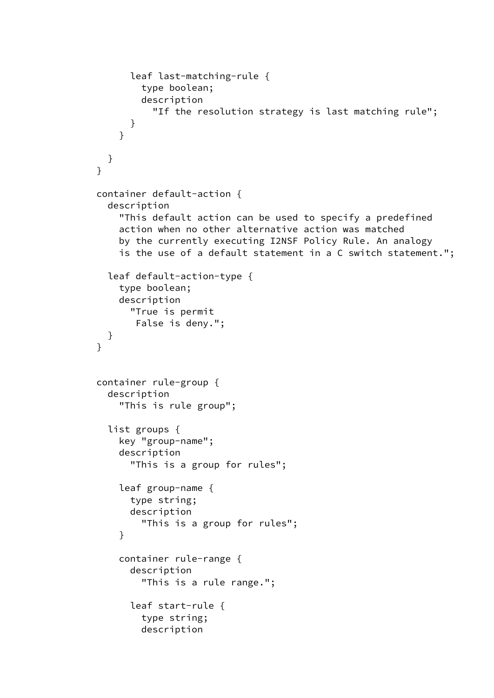```
 leaf last-matching-rule {
                 type boolean;
                 description
                   "If the resolution strategy is last matching rule";
 }
 }
          }
        }
        container default-action {
           description
             "This default action can be used to specify a predefined
             action when no other alternative action was matched
             by the currently executing I2NSF Policy Rule. An analogy
             is the use of a default statement in a C switch statement.";
           leaf default-action-type {
             type boolean;
             description
               "True is permit
                False is deny.";
          }
         }
         container rule-group {
           description
             "This is rule group";
           list groups {
             key "group-name";
             description
               "This is a group for rules";
             leaf group-name {
               type string;
               description
                 "This is a group for rules";
 }
             container rule-range {
               description
                 "This is a rule range.";
               leaf start-rule {
                 type string;
                 description
```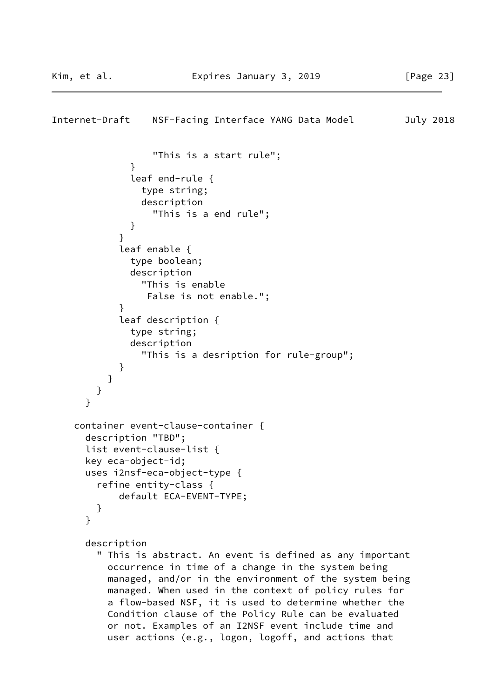```
Internet-Draft NSF-Facing Interface YANG Data Model July 2018
                  "This is a start rule";
 }
              leaf end-rule {
                type string;
                description
                  "This is a end rule";
 }
 }
            leaf enable {
              type boolean;
              description
                "This is enable
                 False is not enable.";
 }
            leaf description {
              type string;
              description
                "This is a desription for rule-group";
 }
          }
        }
       }
     container event-clause-container {
       description "TBD";
       list event-clause-list {
      key eca-object-id;
      uses i2nsf-eca-object-type {
         refine entity-class {
            default ECA-EVENT-TYPE;
         }
       }
      description
         " This is abstract. An event is defined as any important
          occurrence in time of a change in the system being
          managed, and/or in the environment of the system being
          managed. When used in the context of policy rules for
          a flow-based NSF, it is used to determine whether the
          Condition clause of the Policy Rule can be evaluated
          or not. Examples of an I2NSF event include time and
          user actions (e.g., logon, logoff, and actions that
```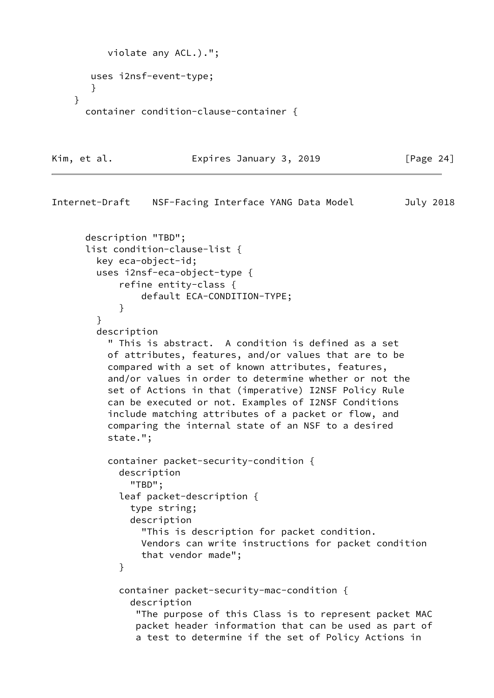```
 violate any ACL.).";
    uses i2nsf-event-type;
    }
 }
   container condition-clause-container {
```
Kim, et al. **Expires January 3, 2019** [Page 24]

```
Internet-Draft NSF-Facing Interface YANG Data Model July 2018
       description "TBD";
       list condition-clause-list {
         key eca-object-id;
         uses i2nsf-eca-object-type {
             refine entity-class {
                 default ECA-CONDITION-TYPE;
 }
         }
         description
           " This is abstract. A condition is defined as a set
           of attributes, features, and/or values that are to be
           compared with a set of known attributes, features,
           and/or values in order to determine whether or not the
           set of Actions in that (imperative) I2NSF Policy Rule
           can be executed or not. Examples of I2NSF Conditions
           include matching attributes of a packet or flow, and
           comparing the internal state of an NSF to a desired
           state.";
           container packet-security-condition {
             description
               "TBD";
             leaf packet-description {
               type string;
               description
                 "This is description for packet condition.
                 Vendors can write instructions for packet condition
                 that vendor made";
 }
             container packet-security-mac-condition {
               description
                "The purpose of this Class is to represent packet MAC
                packet header information that can be used as part of
                a test to determine if the set of Policy Actions in
```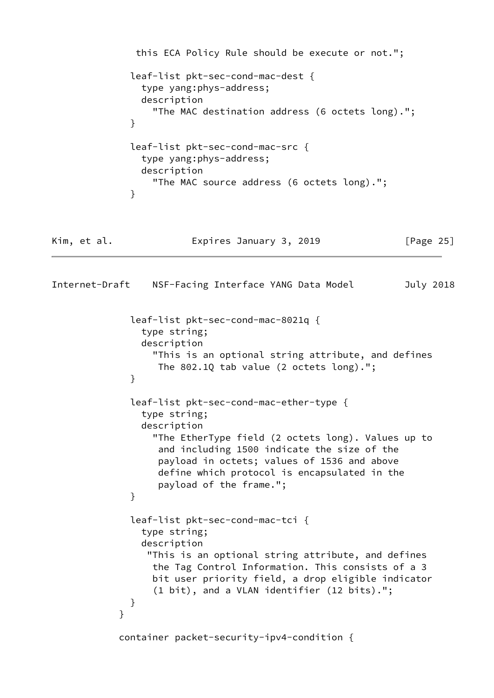```
 this ECA Policy Rule should be execute or not.";
              leaf-list pkt-sec-cond-mac-dest {
                type yang:phys-address;
                description
                  "The MAC destination address (6 octets long).";
 }
              leaf-list pkt-sec-cond-mac-src {
                type yang:phys-address;
                description
                  "The MAC source address (6 octets long).";
 }
Kim, et al.                   Expires January 3, 2019             [Page 25]
Internet-Draft NSF-Facing Interface YANG Data Model July 2018
              leaf-list pkt-sec-cond-mac-8021q {
                type string;
                description
                  "This is an optional string attribute, and defines
                   The 802.1Q tab value (2 octets long).";
 }
              leaf-list pkt-sec-cond-mac-ether-type {
                type string;
                description
                  "The EtherType field (2 octets long). Values up to
                   and including 1500 indicate the size of the
                   payload in octets; values of 1536 and above
                   define which protocol is encapsulated in the
                   payload of the frame.";
 }
              leaf-list pkt-sec-cond-mac-tci {
                type string;
                description
                 "This is an optional string attribute, and defines
                  the Tag Control Information. This consists of a 3
                  bit user priority field, a drop eligible indicator
                  (1 bit), and a VLAN identifier (12 bits).";
 }
 }
            container packet-security-ipv4-condition {
```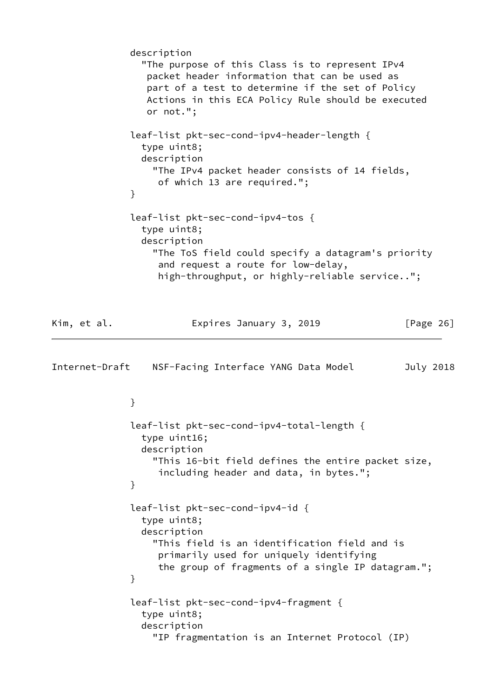description "The purpose of this Class is to represent IPv4 packet header information that can be used as part of a test to determine if the set of Policy Actions in this ECA Policy Rule should be executed or not."; leaf-list pkt-sec-cond-ipv4-header-length { type uint8; description "The IPv4 packet header consists of 14 fields, of which 13 are required."; } leaf-list pkt-sec-cond-ipv4-tos { type uint8; description "The ToS field could specify a datagram's priority and request a route for low-delay, high-throughput, or highly-reliable service.."; Kim, et al. Expires January 3, 2019 [Page 26] Internet-Draft NSF-Facing Interface YANG Data Model July 2018 } leaf-list pkt-sec-cond-ipv4-total-length { type uint16; description "This 16-bit field defines the entire packet size, including header and data, in bytes."; } leaf-list pkt-sec-cond-ipv4-id { type uint8; description "This field is an identification field and is primarily used for uniquely identifying the group of fragments of a single IP datagram."; } leaf-list pkt-sec-cond-ipv4-fragment { type uint8; description "IP fragmentation is an Internet Protocol (IP)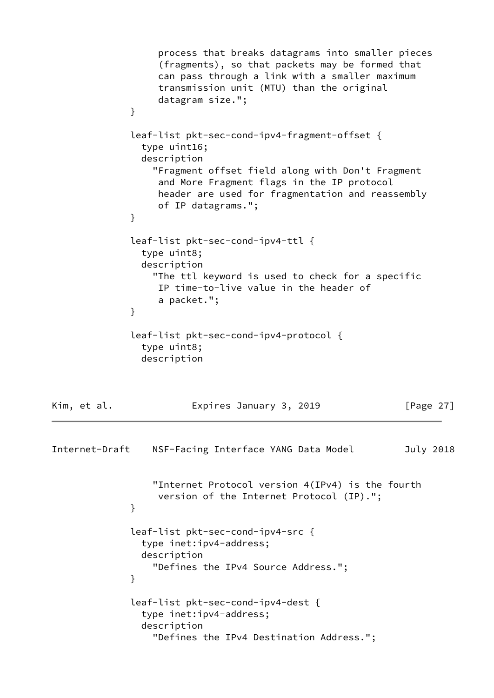```
 process that breaks datagrams into smaller pieces
                   (fragments), so that packets may be formed that
                   can pass through a link with a smaller maximum
                   transmission unit (MTU) than the original
                   datagram size.";
 }
              leaf-list pkt-sec-cond-ipv4-fragment-offset {
                type uint16;
                description
                  "Fragment offset field along with Don't Fragment
                   and More Fragment flags in the IP protocol
                   header are used for fragmentation and reassembly
                   of IP datagrams.";
 }
              leaf-list pkt-sec-cond-ipv4-ttl {
                type uint8;
                description
                  "The ttl keyword is used to check for a specific
                   IP time-to-live value in the header of
                   a packet.";
 }
              leaf-list pkt-sec-cond-ipv4-protocol {
                type uint8;
                description
Kim, et al.                   Expires January 3, 2019             [Page 27]
Internet-Draft NSF-Facing Interface YANG Data Model July 2018
                  "Internet Protocol version 4(IPv4) is the fourth
                   version of the Internet Protocol (IP).";
 }
              leaf-list pkt-sec-cond-ipv4-src {
                type inet:ipv4-address;
                description
                  "Defines the IPv4 Source Address.";
 }
              leaf-list pkt-sec-cond-ipv4-dest {
                type inet:ipv4-address;
                description
                  "Defines the IPv4 Destination Address.";
```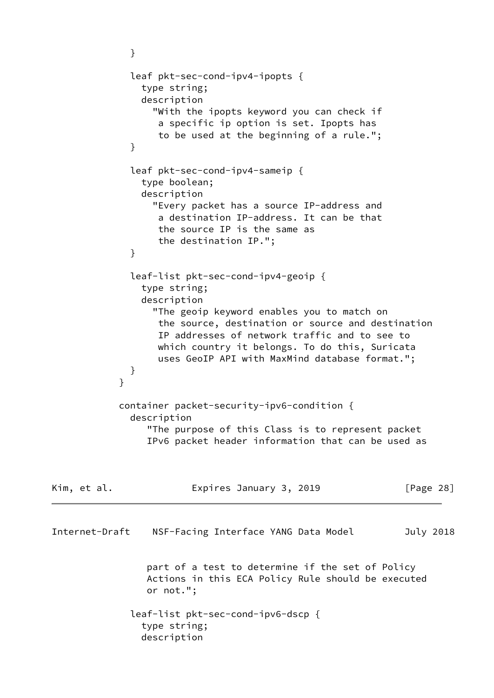```
 }
              leaf pkt-sec-cond-ipv4-ipopts {
                type string;
                description
                  "With the ipopts keyword you can check if
                   a specific ip option is set. Ipopts has
                   to be used at the beginning of a rule.";
 }
              leaf pkt-sec-cond-ipv4-sameip {
                type boolean;
                description
                  "Every packet has a source IP-address and
                   a destination IP-address. It can be that
                   the source IP is the same as
                   the destination IP.";
 }
              leaf-list pkt-sec-cond-ipv4-geoip {
                type string;
                description
                  "The geoip keyword enables you to match on
                   the source, destination or source and destination
                   IP addresses of network traffic and to see to
                   which country it belongs. To do this, Suricata
                   uses GeoIP API with MaxMind database format.";
 }
 }
            container packet-security-ipv6-condition {
              description
                 "The purpose of this Class is to represent packet
                 IPv6 packet header information that can be used as
Kim, et al.                   Expires January 3, 2019             [Page 28]
Internet-Draft NSF-Facing Interface YANG Data Model July 2018
                 part of a test to determine if the set of Policy
                 Actions in this ECA Policy Rule should be executed
                 or not.";
              leaf-list pkt-sec-cond-ipv6-dscp {
                type string;
                description
```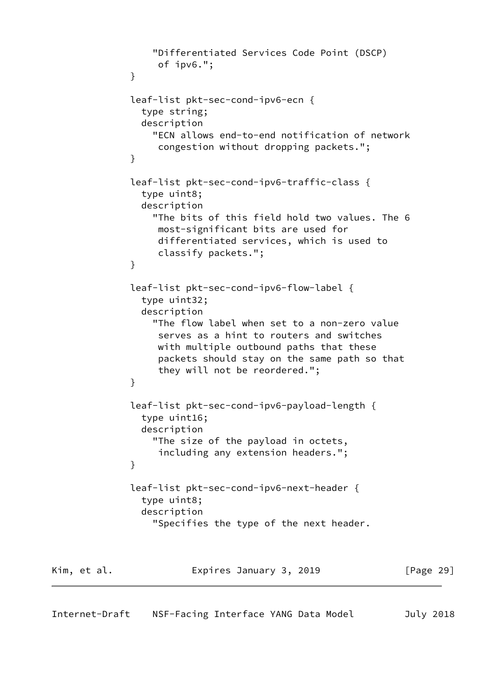```
 "Differentiated Services Code Point (DSCP)
                   of ipv6.";
 }
              leaf-list pkt-sec-cond-ipv6-ecn {
                type string;
                description
                  "ECN allows end-to-end notification of network
                   congestion without dropping packets.";
 }
              leaf-list pkt-sec-cond-ipv6-traffic-class {
                type uint8;
                description
                  "The bits of this field hold two values. The 6
                   most-significant bits are used for
                   differentiated services, which is used to
                   classify packets.";
 }
              leaf-list pkt-sec-cond-ipv6-flow-label {
                type uint32;
                description
                  "The flow label when set to a non-zero value
                   serves as a hint to routers and switches
                   with multiple outbound paths that these
                   packets should stay on the same path so that
                   they will not be reordered.";
 }
              leaf-list pkt-sec-cond-ipv6-payload-length {
                type uint16;
                description
                  "The size of the payload in octets,
                   including any extension headers.";
 }
              leaf-list pkt-sec-cond-ipv6-next-header {
                type uint8;
                description
                  "Specifies the type of the next header.
Kim, et al. Expires January 3, 2019 [Page 29]
```
Internet-Draft NSF-Facing Interface YANG Data Model July 2018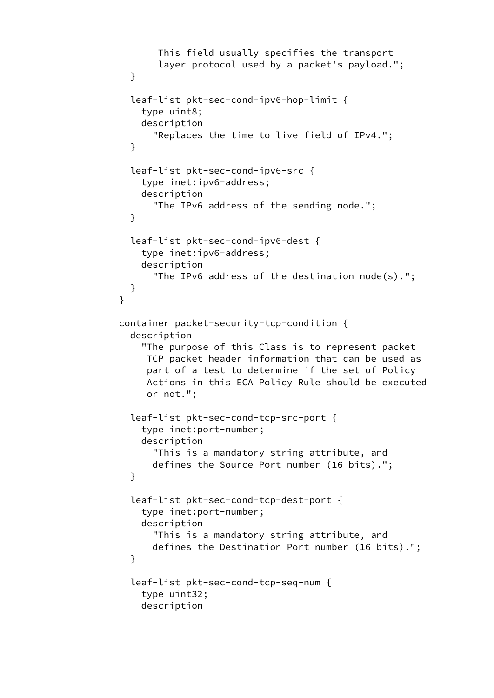```
 This field usually specifies the transport
                   layer protocol used by a packet's payload.";
 }
              leaf-list pkt-sec-cond-ipv6-hop-limit {
                type uint8;
                description
                  "Replaces the time to live field of IPv4.";
 }
              leaf-list pkt-sec-cond-ipv6-src {
                type inet:ipv6-address;
                description
                  "The IPv6 address of the sending node.";
 }
              leaf-list pkt-sec-cond-ipv6-dest {
                type inet:ipv6-address;
                description
                  "The IPv6 address of the destination node(s).";
 }
 }
            container packet-security-tcp-condition {
              description
                "The purpose of this Class is to represent packet
                 TCP packet header information that can be used as
                 part of a test to determine if the set of Policy
                 Actions in this ECA Policy Rule should be executed
                 or not.";
              leaf-list pkt-sec-cond-tcp-src-port {
                type inet:port-number;
                description
                  "This is a mandatory string attribute, and
                  defines the Source Port number (16 bits).";
 }
              leaf-list pkt-sec-cond-tcp-dest-port {
                type inet:port-number;
                description
                  "This is a mandatory string attribute, and
                  defines the Destination Port number (16 bits).";
 }
              leaf-list pkt-sec-cond-tcp-seq-num {
                type uint32;
                description
```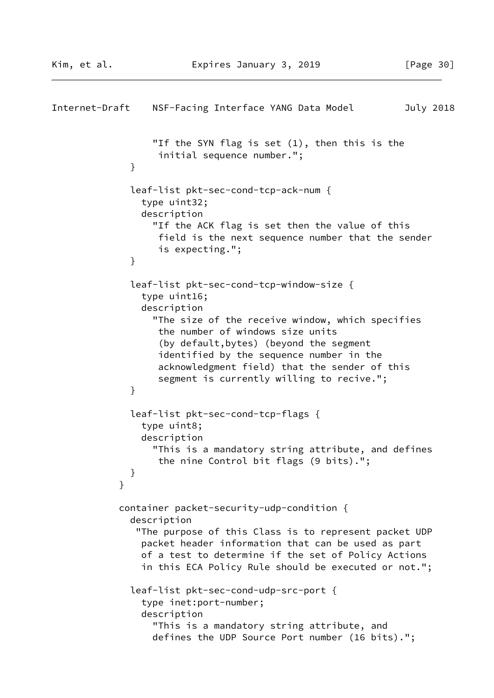```
Internet-Draft NSF-Facing Interface YANG Data Model July 2018
                  "If the SYN flag is set (1), then this is the
                   initial sequence number.";
 }
              leaf-list pkt-sec-cond-tcp-ack-num {
                type uint32;
                description
                  "If the ACK flag is set then the value of this
                   field is the next sequence number that the sender
                   is expecting.";
 }
              leaf-list pkt-sec-cond-tcp-window-size {
                type uint16;
                description
                  "The size of the receive window, which specifies
                   the number of windows size units
                   (by default,bytes) (beyond the segment
                   identified by the sequence number in the
                   acknowledgment field) that the sender of this
                   segment is currently willing to recive.";
 }
              leaf-list pkt-sec-cond-tcp-flags {
                type uint8;
                description
                  "This is a mandatory string attribute, and defines
                   the nine Control bit flags (9 bits).";
 }
 }
            container packet-security-udp-condition {
              description
               "The purpose of this Class is to represent packet UDP
                packet header information that can be used as part
                of a test to determine if the set of Policy Actions
                in this ECA Policy Rule should be executed or not.";
              leaf-list pkt-sec-cond-udp-src-port {
                type inet:port-number;
                description
                  "This is a mandatory string attribute, and
                  defines the UDP Source Port number (16 bits).";
```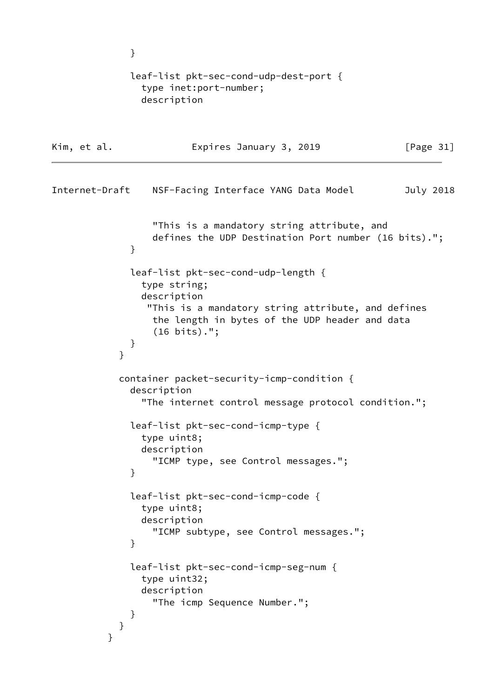```
 }
             leaf-list pkt-sec-cond-udp-dest-port {
               type inet:port-number;
               description
Kim, et al. Expires January 3, 2019 [Page 31]
Internet-Draft NSF-Facing Interface YANG Data Model July 2018
                 "This is a mandatory string attribute, and
                 defines the UDP Destination Port number (16 bits).";
 }
             leaf-list pkt-sec-cond-udp-length {
               type string;
               description
                "This is a mandatory string attribute, and defines
                 the length in bytes of the UDP header and data
                 (16 bits).";
 }
 }
            container packet-security-icmp-condition {
             description
               "The internet control message protocol condition.";
             leaf-list pkt-sec-cond-icmp-type {
               type uint8;
               description
                 "ICMP type, see Control messages.";
 }
              leaf-list pkt-sec-cond-icmp-code {
               type uint8;
               description
                 "ICMP subtype, see Control messages.";
 }
              leaf-list pkt-sec-cond-icmp-seg-num {
               type uint32;
               description
                 "The icmp Sequence Number.";
 }
           }
          }
```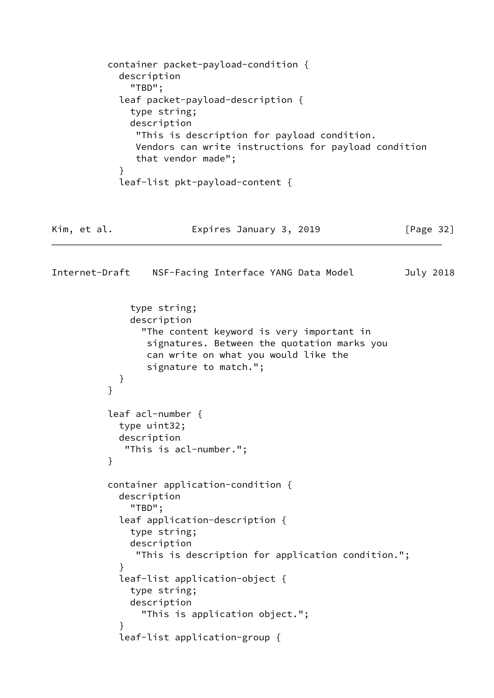```
 container packet-payload-condition {
            description
               "TBD";
            leaf packet-payload-description {
              type string;
              description
                "This is description for payload condition.
               Vendors can write instructions for payload condition
               that vendor made";
 }
            leaf-list pkt-payload-content {
Kim, et al.                   Expires January 3, 2019             [Page 32]
Internet-Draft NSF-Facing Interface YANG Data Model July 2018
              type string;
              description
                 "The content keyword is very important in
                 signatures. Between the quotation marks you
                 can write on what you would like the
                 signature to match.";
 }
 }
          leaf acl-number {
            type uint32;
            description
             "This is acl-number.";
          }
          container application-condition {
            description
              "TBD";
            leaf application-description {
              type string;
              description
               "This is description for application condition.";
 }
            leaf-list application-object {
              type string;
              description
                "This is application object.";
 }
            leaf-list application-group {
```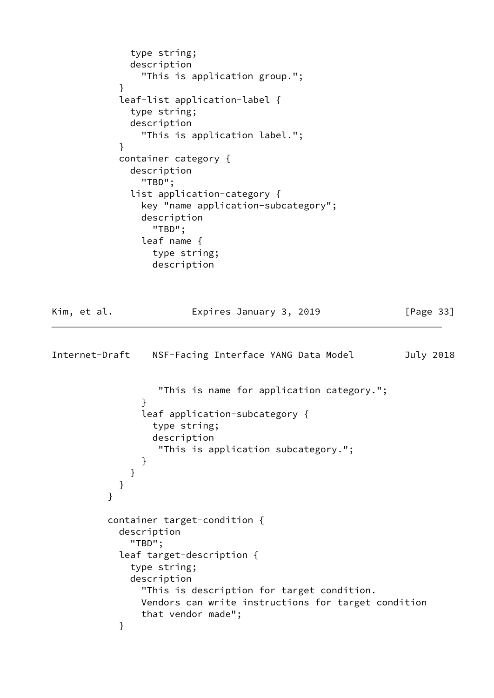```
 type string;
              description
                "This is application group.";
 }
            leaf-list application-label {
              type string;
              description
                "This is application label.";
 }
            container category {
              description
                "TBD";
              list application-category {
                key "name application-subcategory";
                description
                  "TBD";
                leaf name {
                  type string;
                  description
Kim, et al.                   Expires January 3, 2019               [Page 33]
Internet-Draft NSF-Facing Interface YANG Data Model July 2018
                   "This is name for application category.";
 }
                leaf application-subcategory {
                  type string;
                  description
                   "This is application subcategory.";
 }
 }
            }
          }
          container target-condition {
            description
              "TBD";
            leaf target-description {
              type string;
              description
                "This is description for target condition.
                Vendors can write instructions for target condition
                that vendor made";
 }
```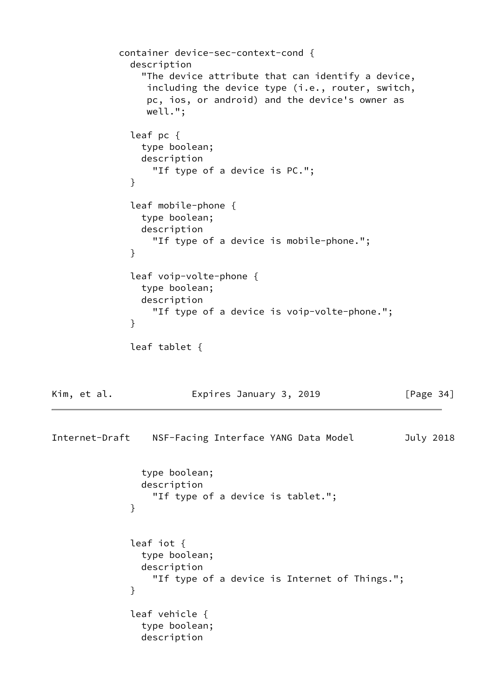```
 container device-sec-context-cond {
              description
                "The device attribute that can identify a device,
                including the device type (i.e., router, switch,
                pc, ios, or android) and the device's owner as
                well.";
              leaf pc {
               type boolean;
               description
                 "If type of a device is PC.";
 }
              leaf mobile-phone {
               type boolean;
               description
                 "If type of a device is mobile-phone.";
 }
              leaf voip-volte-phone {
               type boolean;
               description
                 "If type of a device is voip-volte-phone.";
 }
              leaf tablet {
Kim, et al. Expires January 3, 2019 [Page 34]
Internet-Draft NSF-Facing Interface YANG Data Model July 2018
               type boolean;
               description
                 "If type of a device is tablet.";
 }
              leaf iot {
               type boolean;
               description
                 "If type of a device is Internet of Things.";
 }
              leaf vehicle {
               type boolean;
               description
```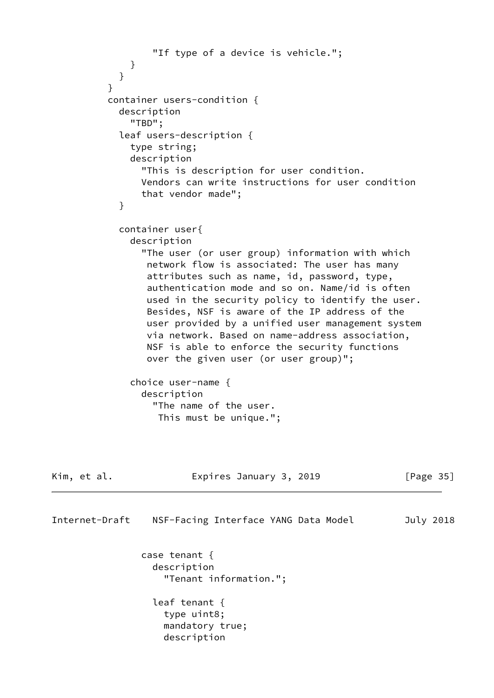```
 "If type of a device is vehicle.";
 }
 }
 }
           container users-condition {
             description
               "TBD";
             leaf users-description {
               type string;
               description
                 "This is description for user condition.
                 Vendors can write instructions for user condition
                 that vendor made";
 }
             container user{
               description
                 "The user (or user group) information with which
                  network flow is associated: The user has many
                  attributes such as name, id, password, type,
                  authentication mode and so on. Name/id is often
                  used in the security policy to identify the user.
                  Besides, NSF is aware of the IP address of the
                  user provided by a unified user management system
                  via network. Based on name-address association,
                  NSF is able to enforce the security functions
                  over the given user (or user group)";
               choice user-name {
                 description
                   "The name of the user.
                    This must be unique.";
Kim, et al.                         Expires January 3, 2019                 [Page 35]
Internet-Draft NSF-Facing Interface YANG Data Model July 2018
                 case tenant {
                   description
                     "Tenant information.";
                   leaf tenant {
                     type uint8;
                     mandatory true;
                     description
```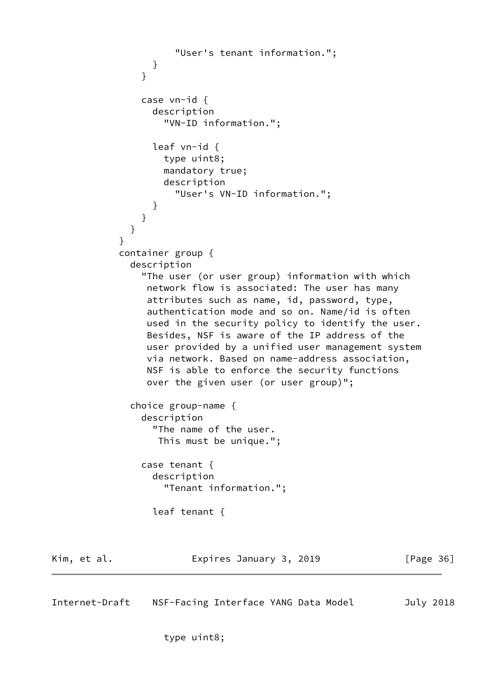```
 "User's tenant information.";
 }
 }
               case vn-id {
                 description
                   "VN-ID information.";
                 leaf vn-id {
                   type uint8;
                   mandatory true;
                   description
                     "User's VN-ID information.";
 }
 }
 }
 }
            container group {
              description
               "The user (or user group) information with which
                network flow is associated: The user has many
                attributes such as name, id, password, type,
                authentication mode and so on. Name/id is often
                used in the security policy to identify the user.
                Besides, NSF is aware of the IP address of the
                user provided by a unified user management system
                via network. Based on name-address association,
                NSF is able to enforce the security functions
                over the given user (or user group)";
              choice group-name {
               description
                 "The name of the user.
                  This must be unique.";
               case tenant {
                 description
                   "Tenant information.";
                 leaf tenant {
Kim, et al. Expires January 3, 2019 [Page 36]
Internet-Draft NSF-Facing Interface YANG Data Model July 2018
```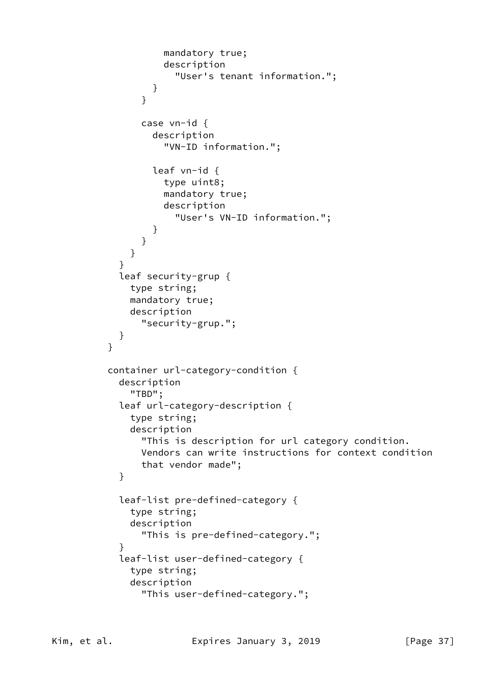```
 mandatory true;
                   description
                     "User's tenant information.";
 }
 }
               case vn-id {
                 description
                   "VN-ID information.";
                 leaf vn-id {
                   type uint8;
                   mandatory true;
                   description
                     "User's VN-ID information.";
 }
 }
 }
 }
           leaf security-grup {
             type string;
             mandatory true;
             description
               "security-grup.";
 }
 }
         container url-category-condition {
           description
             "TBD";
           leaf url-category-description {
             type string;
             description
               "This is description for url category condition.
               Vendors can write instructions for context condition
               that vendor made";
 }
           leaf-list pre-defined-category {
             type string;
             description
               "This is pre-defined-category.";
 }
           leaf-list user-defined-category {
             type string;
             description
               "This user-defined-category.";
```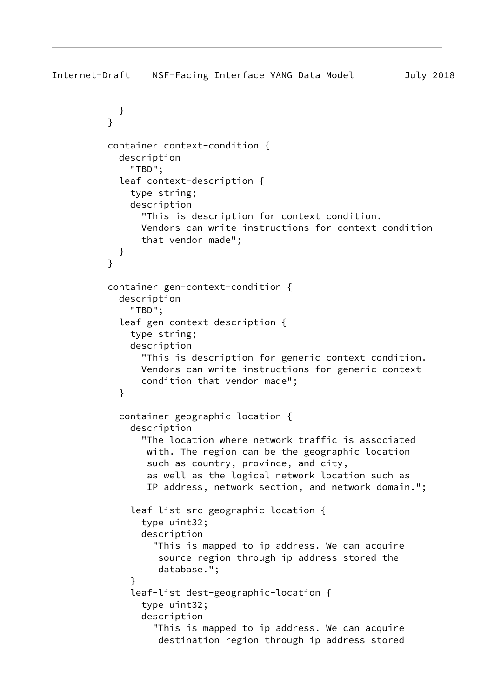```
Internet-Draft NSF-Facing Interface YANG Data Model July 2018
             }
 }
           container context-condition {
             description
               "TBD";
             leaf context-description {
               type string;
               description
                 "This is description for context condition.
                 Vendors can write instructions for context condition
                 that vendor made";
            }
 }
           container gen-context-condition {
             description
               "TBD";
             leaf gen-context-description {
               type string;
               description
                 "This is description for generic context condition.
                 Vendors can write instructions for generic context
                 condition that vendor made";
 }
             container geographic-location {
               description
                 "The location where network traffic is associated
                  with. The region can be the geographic location
                  such as country, province, and city,
                  as well as the logical network location such as
                  IP address, network section, and network domain.";
               leaf-list src-geographic-location {
                 type uint32;
                 description
                   "This is mapped to ip address. We can acquire
                    source region through ip address stored the
                    database.";
 }
               leaf-list dest-geographic-location {
                 type uint32;
                 description
                   "This is mapped to ip address. We can acquire
                    destination region through ip address stored
```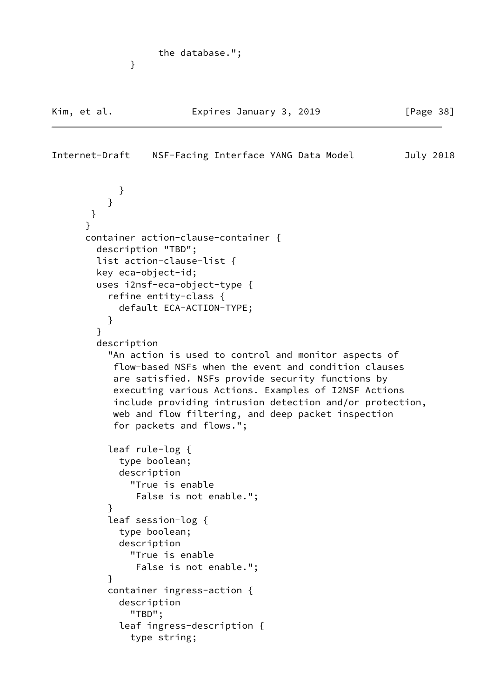```
 the database.";
```
}

```
Internet-Draft NSF-Facing Interface YANG Data Model July 2018
 }
 }
       }
       }
       container action-clause-container {
        description "TBD";
         list action-clause-list {
        key eca-object-id;
        uses i2nsf-eca-object-type {
           refine entity-class {
             default ECA-ACTION-TYPE;
 }
         }
         description
           "An action is used to control and monitor aspects of
            flow-based NSFs when the event and condition clauses
            are satisfied. NSFs provide security functions by
            executing various Actions. Examples of I2NSF Actions
            include providing intrusion detection and/or protection,
           web and flow filtering, and deep packet inspection
            for packets and flows.";
           leaf rule-log {
             type boolean;
             description
               "True is enable
               False is not enable.";
 }
           leaf session-log {
             type boolean;
             description
               "True is enable
               False is not enable.";
 }
           container ingress-action {
             description
               "TBD";
             leaf ingress-description {
               type string;
```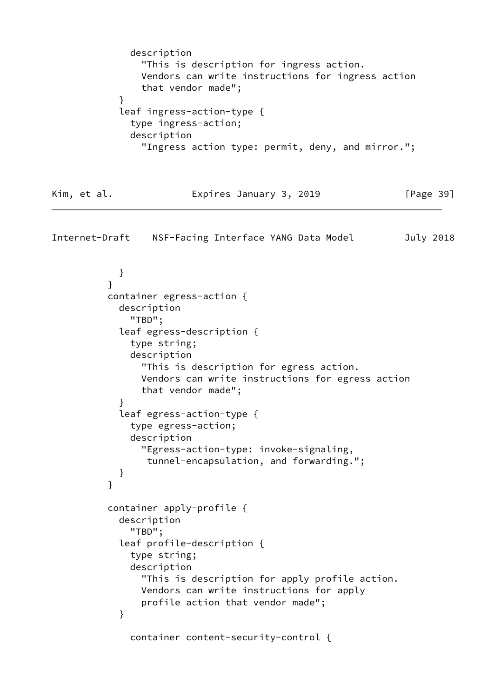```
 description
                "This is description for ingress action.
                Vendors can write instructions for ingress action
                that vendor made";
 }
            leaf ingress-action-type {
              type ingress-action;
              description
                "Ingress action type: permit, deny, and mirror.";
Kim, et al. Expires January 3, 2019 [Page 39]
Internet-Draft NSF-Facing Interface YANG Data Model July 2018
 }
 }
          container egress-action {
            description
              "TBD";
            leaf egress-description {
              type string;
              description
                "This is description for egress action.
                Vendors can write instructions for egress action
                that vendor made";
 }
            leaf egress-action-type {
              type egress-action;
              description
                "Egress-action-type: invoke-signaling,
                 tunnel-encapsulation, and forwarding.";
 }
 }
          container apply-profile {
            description
              "TBD";
            leaf profile-description {
              type string;
              description
                "This is description for apply profile action.
                Vendors can write instructions for apply
                profile action that vendor made";
 }
```

```
 container content-security-control {
```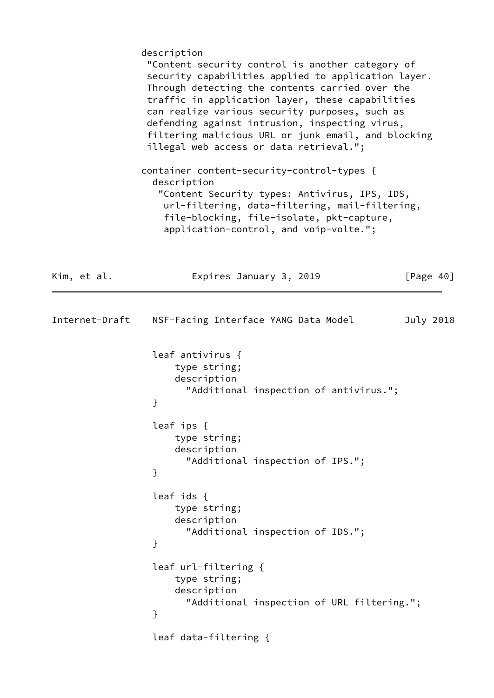|                | description<br>"Content security control is another category of<br>security capabilities applied to application layer.<br>Through detecting the contents carried over the<br>traffic in application layer, these capabilities<br>can realize various security purposes, such as<br>defending against intrusion, inspecting virus,<br>filtering malicious URL or junk email, and blocking<br>illegal web access or data retrieval.";<br>container content-security-control-types {<br>description |
|----------------|--------------------------------------------------------------------------------------------------------------------------------------------------------------------------------------------------------------------------------------------------------------------------------------------------------------------------------------------------------------------------------------------------------------------------------------------------------------------------------------------------|
|                | "Content Security types: Antivirus, IPS, IDS,<br>url-filtering, data-filtering, mail-filtering,<br>file-blocking, file-isolate, pkt-capture,<br>application-control, and voip-volte.";                                                                                                                                                                                                                                                                                                           |
| Kim, et al.    | [Page $40$ ]<br>Expires January 3, 2019                                                                                                                                                                                                                                                                                                                                                                                                                                                          |
| Internet-Draft | NSF-Facing Interface YANG Data Model<br>July 2018                                                                                                                                                                                                                                                                                                                                                                                                                                                |
|                | leaf antivirus {<br>type string;<br>description<br>"Additional inspection of antivirus.";<br>}                                                                                                                                                                                                                                                                                                                                                                                                   |
|                | leaf $ips \{$<br>type string;<br>description<br>"Additional inspection of IPS.";<br>}                                                                                                                                                                                                                                                                                                                                                                                                            |
|                | leaf ids $\{$<br>type string;<br>description<br>"Additional inspection of IDS.";<br>}                                                                                                                                                                                                                                                                                                                                                                                                            |
|                | leaf url-filtering {<br>type string;<br>description<br>"Additional inspection of URL filtering.";<br>}                                                                                                                                                                                                                                                                                                                                                                                           |
|                | leaf data-filtering {                                                                                                                                                                                                                                                                                                                                                                                                                                                                            |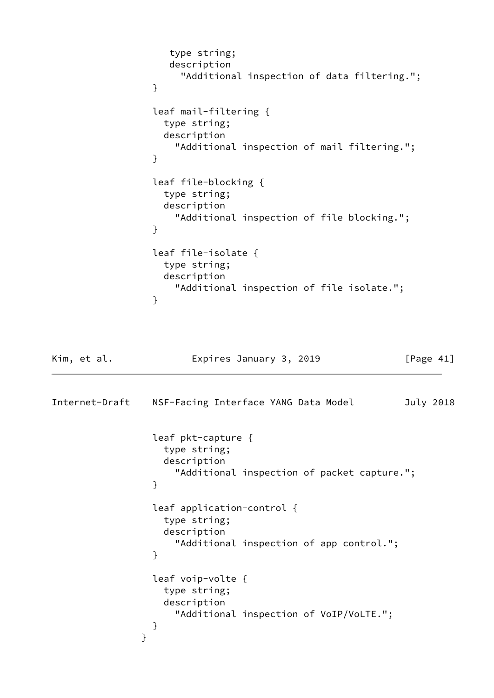```
 type string;
                   description
                    "Additional inspection of data filtering.";
 }
                leaf mail-filtering {
                  type string;
                  description
                   "Additional inspection of mail filtering.";
 }
                leaf file-blocking {
                  type string;
                  description
                   "Additional inspection of file blocking.";
 }
                leaf file-isolate {
                  type string;
                  description
                   "Additional inspection of file isolate.";
 }
Kim, et al. Expires January 3, 2019 [Page 41]
Internet-Draft NSF-Facing Interface YANG Data Model July 2018
                leaf pkt-capture {
                  type string;
                  description
                   "Additional inspection of packet capture.";
 }
                leaf application-control {
                  type string;
                  description
                   "Additional inspection of app control.";
 }
                leaf voip-volte {
                  type string;
                  description
                   "Additional inspection of VoIP/VoLTE.";
 }
 }
```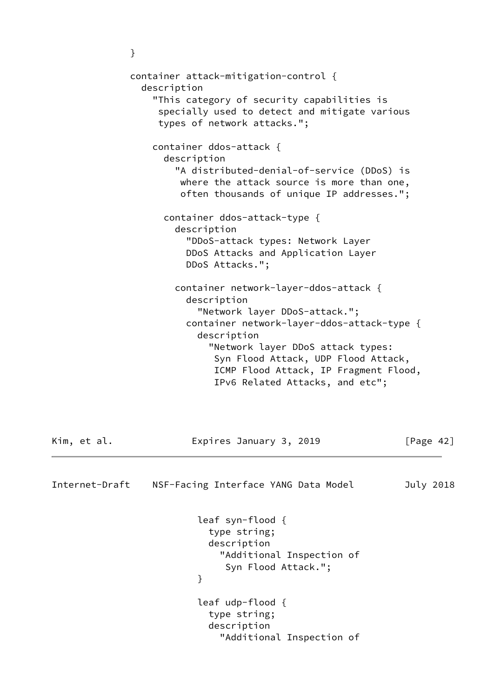```
 container attack-mitigation-control {
                 description
                   "This category of security capabilities is
                    specially used to detect and mitigate various
                    types of network attacks.";
                   container ddos-attack {
                     description
                       "A distributed-denial-of-service (DDoS) is
                        where the attack source is more than one,
                        often thousands of unique IP addresses.";
                     container ddos-attack-type {
                       description
                         "DDoS-attack types: Network Layer
                         DDoS Attacks and Application Layer
                         DDoS Attacks.";
                       container network-layer-ddos-attack {
                         description
                           "Network layer DDoS-attack.";
                         container network-layer-ddos-attack-type {
                           description
                             "Network layer DDoS attack types:
                              Syn Flood Attack, UDP Flood Attack,
                              ICMP Flood Attack, IP Fragment Flood,
                              IPv6 Related Attacks, and etc";
Kim, et al.                     Expires January 3, 2019               [Page 42]
Internet-Draft NSF-Facing Interface YANG Data Model July 2018
                           leaf syn-flood {
                             type string;
                             description
                               "Additional Inspection of
                                Syn Flood Attack.";
 }
                           leaf udp-flood {
                             type string;
                             description
```
"Additional Inspection of

}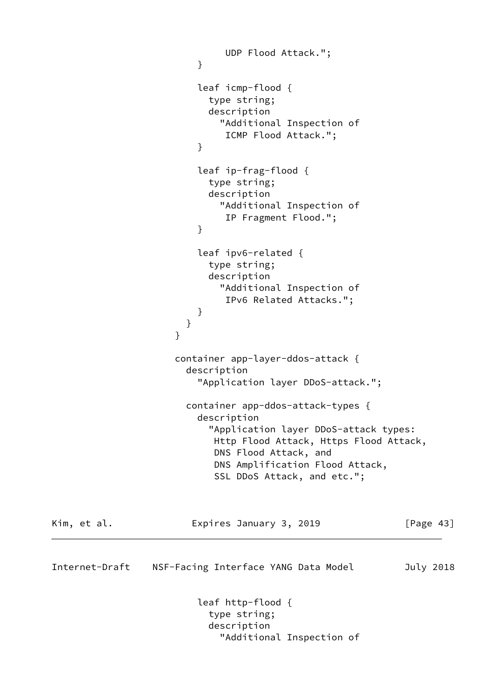```
 UDP Flood Attack.";
 }
                        leaf icmp-flood {
                         type string;
                          description
                           "Additional Inspection of
                            ICMP Flood Attack.";
 }
                        leaf ip-frag-flood {
                         type string;
                         description
                           "Additional Inspection of
                            IP Fragment Flood.";
 }
                        leaf ipv6-related {
                          type string;
                          description
                           "Additional Inspection of
                            IPv6 Related Attacks.";
 }
 }
 }
                    container app-layer-ddos-attack {
                      description
                        "Application layer DDoS-attack.";
                      container app-ddos-attack-types {
                        description
                          "Application layer DDoS-attack types:
                          Http Flood Attack, Https Flood Attack,
                          DNS Flood Attack, and
                          DNS Amplification Flood Attack,
                          SSL DDoS Attack, and etc.";
Kim, et al.                   Expires January 3, 2019             [Page 43]
Internet-Draft NSF-Facing Interface YANG Data Model July 2018
                        leaf http-flood {
                          type string;
                          description
                           "Additional Inspection of
```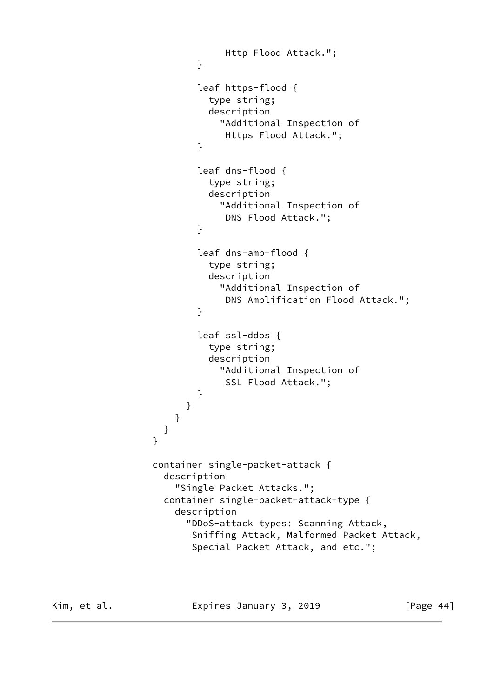```
 Http Flood Attack.";
 }
                      leaf https-flood {
                        type string;
                        description
                          "Additional Inspection of
                          Https Flood Attack.";
 }
                      leaf dns-flood {
                        type string;
                        description
                          "Additional Inspection of
                          DNS Flood Attack.";
 }
                      leaf dns-amp-flood {
                        type string;
                        description
                          "Additional Inspection of
                          DNS Amplification Flood Attack.";
 }
                      leaf ssl-ddos {
                        type string;
                        description
                         "Additional Inspection of
                          SSL Flood Attack.";
 }
 }
 }
 }
               container single-packet-attack {
                 description
                   "Single Packet Attacks.";
                 container single-packet-attack-type {
                   description
                     "DDoS-attack types: Scanning Attack,
                     Sniffing Attack, Malformed Packet Attack,
                     Special Packet Attack, and etc.";
```
}

Kim, et al. **Expires January 3, 2019** [Page 44]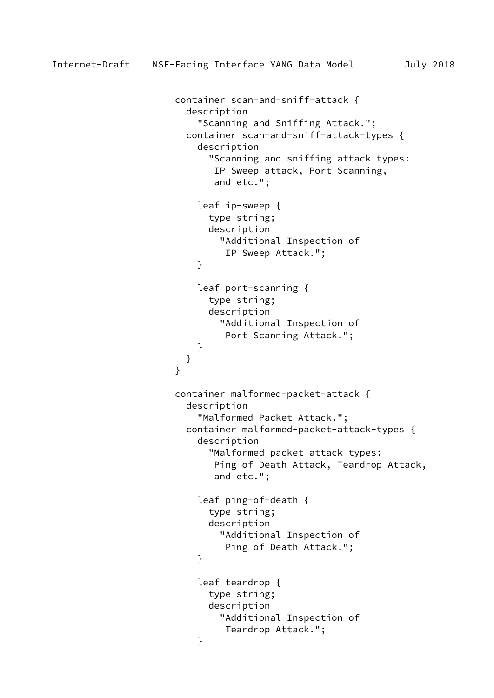```
 container scan-and-sniff-attack {
                      description
                        "Scanning and Sniffing Attack.";
                      container scan-and-sniff-attack-types {
                        description
                          "Scanning and sniffing attack types:
                           IP Sweep attack, Port Scanning,
                           and etc.";
                        leaf ip-sweep {
                          type string;
                          description
                            "Additional Inspection of
                            IP Sweep Attack.";
 }
                        leaf port-scanning {
                          type string;
                          description
                            "Additional Inspection of
                            Port Scanning Attack.";
 }
 }
 }
                    container malformed-packet-attack {
                      description
                        "Malformed Packet Attack.";
                      container malformed-packet-attack-types {
                        description
                          "Malformed packet attack types:
                           Ping of Death Attack, Teardrop Attack,
                           and etc.";
                        leaf ping-of-death {
                          type string;
                          description
                            "Additional Inspection of
                            Ping of Death Attack.";
 }
                        leaf teardrop {
                          type string;
                          description
                            "Additional Inspection of
                            Teardrop Attack.";
 }
```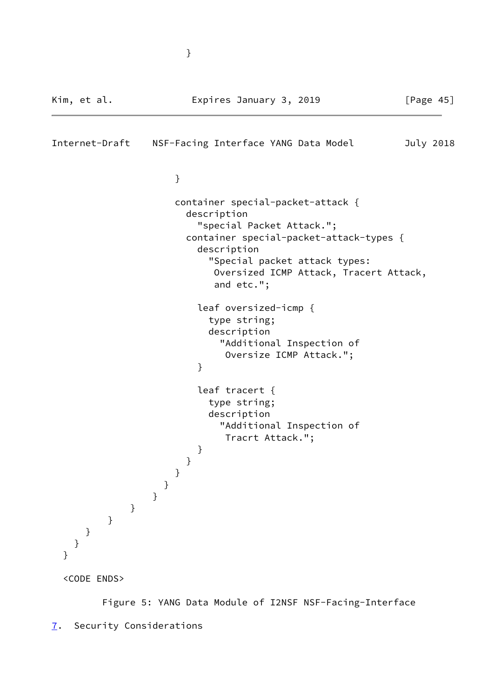```
Kim, et al.                   Expires January 3, 2019               [Page 45]
Internet-Draft NSF-Facing Interface YANG Data Model July 2018
 }
                   container special-packet-attack {
                    description
                      "special Packet Attack.";
                    container special-packet-attack-types {
                      description
                        "Special packet attack types:
                        Oversized ICMP Attack, Tracert Attack,
                        and etc.";
                      leaf oversized-icmp {
                        type string;
                        description
                         "Additional Inspection of
                          Oversize ICMP Attack.";
 }
                      leaf tracert {
                        type string;
                        description
                         "Additional Inspection of
                          Tracrt Attack.";
 }
 }
 }
 }
 }
 }
         }
     }
    }
  }
  <CODE ENDS>
```
<span id="page-51-0"></span> Figure 5: YANG Data Module of I2NSF NSF-Facing-Interface [7](#page-51-0). Security Considerations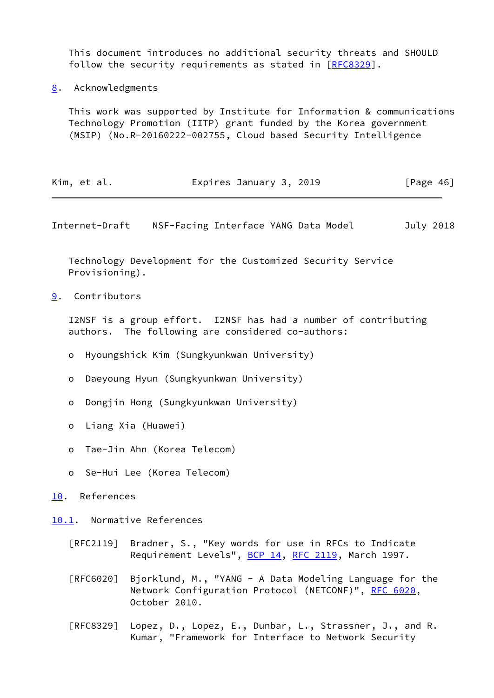This document introduces no additional security threats and SHOULD follow the security requirements as stated in [[RFC8329](https://datatracker.ietf.org/doc/pdf/rfc8329)].

<span id="page-52-0"></span>[8](#page-52-0). Acknowledgments

 This work was supported by Institute for Information & communications Technology Promotion (IITP) grant funded by the Korea government (MSIP) (No.R-20160222-002755, Cloud based Security Intelligence

| Kim, et al. | Expires January 3, 2019 |  | [Page $46$ ] |  |
|-------------|-------------------------|--|--------------|--|
|-------------|-------------------------|--|--------------|--|

<span id="page-52-2"></span>Internet-Draft NSF-Facing Interface YANG Data Model July 2018

 Technology Development for the Customized Security Service Provisioning).

<span id="page-52-1"></span>[9](#page-52-1). Contributors

 I2NSF is a group effort. I2NSF has had a number of contributing authors. The following are considered co-authors:

- o Hyoungshick Kim (Sungkyunkwan University)
- o Daeyoung Hyun (Sungkyunkwan University)
- o Dongjin Hong (Sungkyunkwan University)
- o Liang Xia (Huawei)
- o Tae-Jin Ahn (Korea Telecom)
- o Se-Hui Lee (Korea Telecom)
- <span id="page-52-3"></span>[10.](#page-52-3) References

<span id="page-52-4"></span>[10.1](#page-52-4). Normative References

- [RFC2119] Bradner, S., "Key words for use in RFCs to Indicate Requirement Levels", [BCP 14](https://datatracker.ietf.org/doc/pdf/bcp14), [RFC 2119](https://datatracker.ietf.org/doc/pdf/rfc2119), March 1997.
- [RFC6020] Bjorklund, M., "YANG A Data Modeling Language for the Network Configuration Protocol (NETCONF)", [RFC 6020](https://datatracker.ietf.org/doc/pdf/rfc6020), October 2010.
- [RFC8329] Lopez, D., Lopez, E., Dunbar, L., Strassner, J., and R. Kumar, "Framework for Interface to Network Security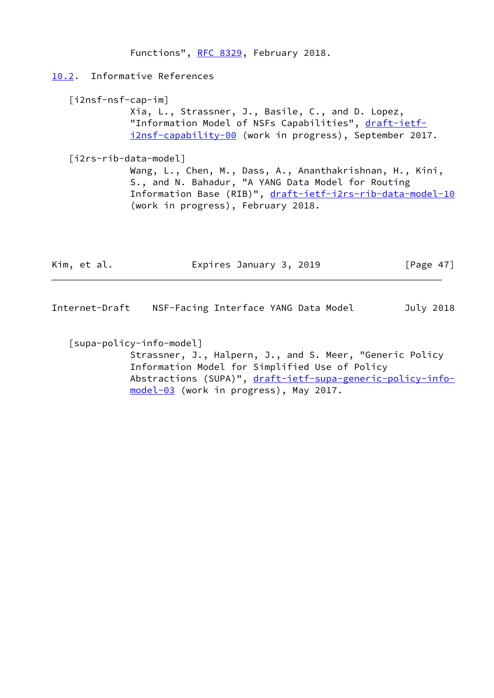<span id="page-53-3"></span><span id="page-53-1"></span><span id="page-53-0"></span> Functions", [RFC 8329,](https://datatracker.ietf.org/doc/pdf/rfc8329) February 2018. [10.2](#page-53-0). Informative References [i2nsf-nsf-cap-im] Xia, L., Strassner, J., Basile, C., and D. Lopez, "Information Model of NSFs Capabilities", [draft-ietf](https://datatracker.ietf.org/doc/pdf/draft-ietf-i2nsf-capability-00) [i2nsf-capability-00](https://datatracker.ietf.org/doc/pdf/draft-ietf-i2nsf-capability-00) (work in progress), September 2017. [i2rs-rib-data-model] Wang, L., Chen, M., Dass, A., Ananthakrishnan, H., Kini, S., and N. Bahadur, "A YANG Data Model for Routing Information Base (RIB)", [draft-ietf-i2rs-rib-data-model-10](https://datatracker.ietf.org/doc/pdf/draft-ietf-i2rs-rib-data-model-10) (work in progress), February 2018.

| Kim, et al. | Expires January 3, 2019 | [Page 47] |
|-------------|-------------------------|-----------|
|             |                         |           |

Internet-Draft NSF-Facing Interface YANG Data Model July 2018

<span id="page-53-2"></span>[supa-policy-info-model]

 Strassner, J., Halpern, J., and S. Meer, "Generic Policy Information Model for Simplified Use of Policy Abstractions (SUPA)", [draft-ietf-supa-generic-policy-info](https://datatracker.ietf.org/doc/pdf/draft-ietf-supa-generic-policy-info-model-03) [model-03](https://datatracker.ietf.org/doc/pdf/draft-ietf-supa-generic-policy-info-model-03) (work in progress), May 2017.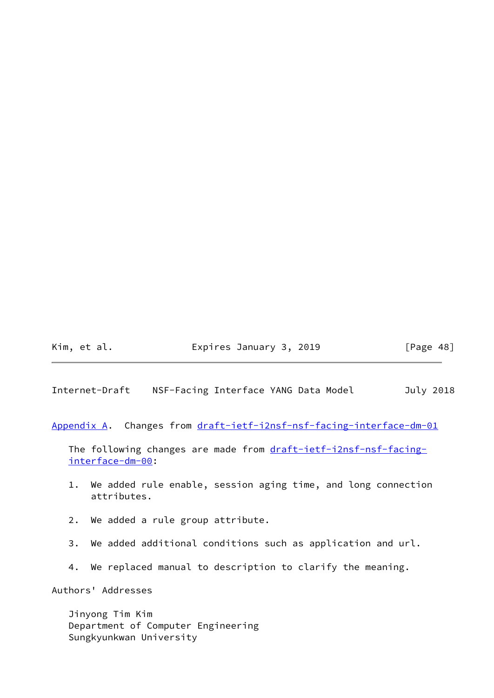# Kim, et al. **Expires January 3, 2019** [Page 48]

<span id="page-54-1"></span>Internet-Draft NSF-Facing Interface YANG Data Model July 2018

<span id="page-54-0"></span>[Appendix A.](#page-54-0) Changes from [draft-ietf-i2nsf-nsf-facing-interface-dm-01](https://datatracker.ietf.org/doc/pdf/draft-ietf-i2nsf-nsf-facing-interface-dm-01)

The following changes are made from [draft-ietf-i2nsf-nsf-facing](https://datatracker.ietf.org/doc/pdf/draft-ietf-i2nsf-nsf-facing-interface-dm-00) [interface-dm-00](https://datatracker.ietf.org/doc/pdf/draft-ietf-i2nsf-nsf-facing-interface-dm-00):

- 1. We added rule enable, session aging time, and long connection attributes.
- 2. We added a rule group attribute.
- 3. We added additional conditions such as application and url.
- 4. We replaced manual to description to clarify the meaning.

Authors' Addresses

 Jinyong Tim Kim Department of Computer Engineering Sungkyunkwan University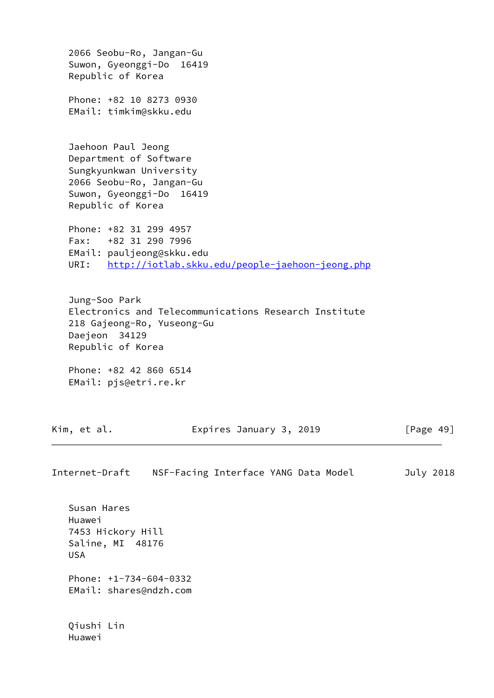2066 Seobu-Ro, Jangan-Gu Suwon, Gyeonggi-Do 16419 Republic of Korea Phone: +82 10 8273 0930 EMail: timkim@skku.edu Jaehoon Paul Jeong Department of Software Sungkyunkwan University 2066 Seobu-Ro, Jangan-Gu Suwon, Gyeonggi-Do 16419 Republic of Korea Phone: +82 31 299 4957 Fax: +82 31 290 7996 EMail: pauljeong@skku.edu URI: <http://iotlab.skku.edu/people-jaehoon-jeong.php> Jung-Soo Park Electronics and Telecommunications Research Institute 218 Gajeong-Ro, Yuseong-Gu Daejeon 34129 Republic of Korea Phone: +82 42 860 6514 EMail: pjs@etri.re.kr Kim, et al. **Expires January 3, 2019** [Page 49] Internet-Draft NSF-Facing Interface YANG Data Model July 2018 Susan Hares Huawei 7453 Hickory Hill Saline, MI 48176 USA Phone: +1-734-604-0332 EMail: shares@ndzh.com

 Qiushi Lin Huawei